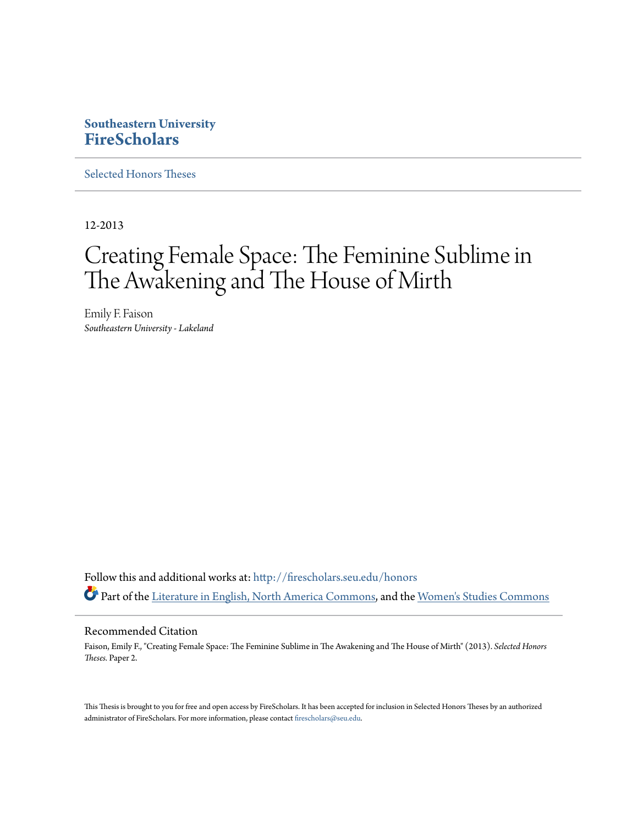# **Southeastern University [FireScholars](http://firescholars.seu.edu?utm_source=firescholars.seu.edu%2Fhonors%2F2&utm_medium=PDF&utm_campaign=PDFCoverPages)**

[Selected Honors Theses](http://firescholars.seu.edu/honors?utm_source=firescholars.seu.edu%2Fhonors%2F2&utm_medium=PDF&utm_campaign=PDFCoverPages)

12-2013

# Creating Female Space: The Feminine Sublime in The Awakening and The House of Mirth

Emily F. Faison *Southeastern University - Lakeland*

Follow this and additional works at: [http://firescholars.seu.edu/honors](http://firescholars.seu.edu/honors?utm_source=firescholars.seu.edu%2Fhonors%2F2&utm_medium=PDF&utm_campaign=PDFCoverPages) Part of the [Literature in English, North America Commons](http://network.bepress.com/hgg/discipline/458?utm_source=firescholars.seu.edu%2Fhonors%2F2&utm_medium=PDF&utm_campaign=PDFCoverPages), and the [Women's Studies Commons](http://network.bepress.com/hgg/discipline/561?utm_source=firescholars.seu.edu%2Fhonors%2F2&utm_medium=PDF&utm_campaign=PDFCoverPages)

## Recommended Citation

Faison, Emily F., "Creating Female Space: The Feminine Sublime in The Awakening and The House of Mirth" (2013). *Selected Honors Theses.* Paper 2.

This Thesis is brought to you for free and open access by FireScholars. It has been accepted for inclusion in Selected Honors Theses by an authorized administrator of FireScholars. For more information, please contact [firescholars@seu.edu](mailto:firescholars@seu.edu).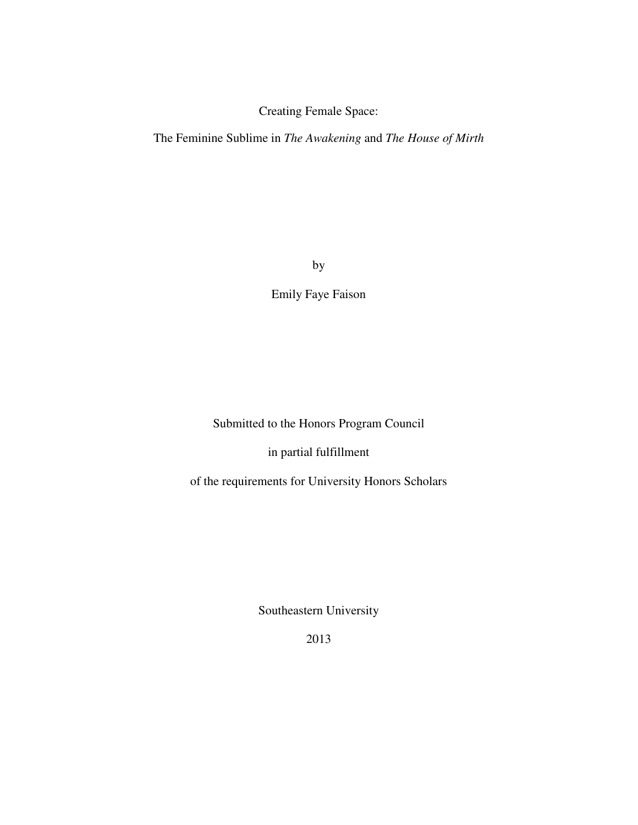Creating Female Space:

The Feminine Sublime in *The Awakening* and *The House of Mirth*

by

Emily Faye Faison

Submitted to the Honors Program Council

in partial fulfillment

of the requirements for University Honors Scholars

Southeastern University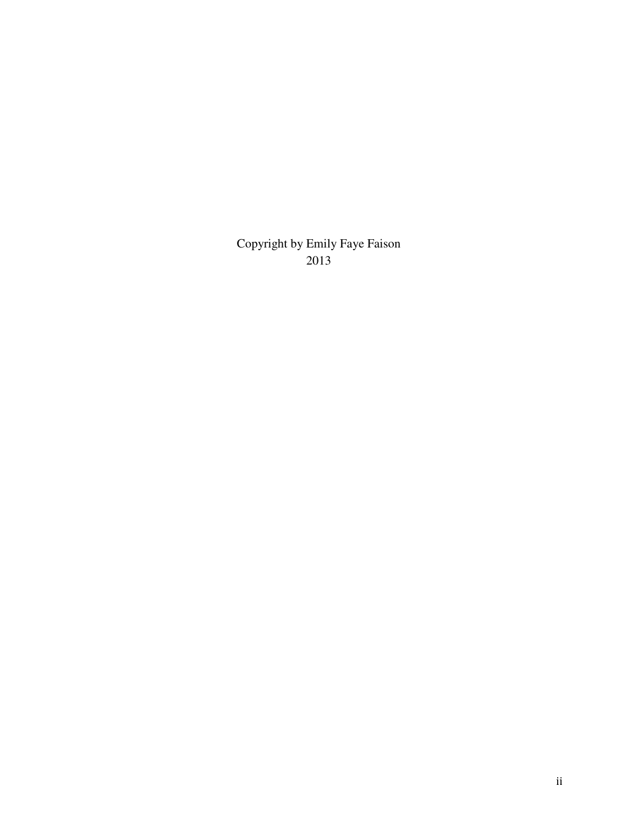Copyright by Emily Faye Faison 2013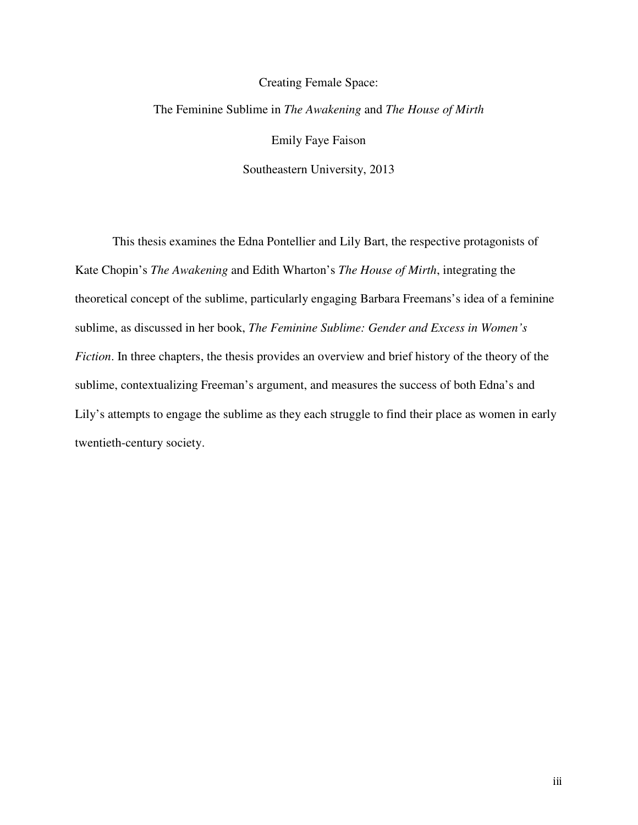# Creating Female Space: The Feminine Sublime in *The Awakening* and *The House of Mirth* Emily Faye Faison Southeastern University, 2013

This thesis examines the Edna Pontellier and Lily Bart, the respective protagonists of Kate Chopin's *The Awakening* and Edith Wharton's *The House of Mirth*, integrating the theoretical concept of the sublime, particularly engaging Barbara Freemans's idea of a feminine sublime, as discussed in her book, *The Feminine Sublime: Gender and Excess in Women's Fiction*. In three chapters, the thesis provides an overview and brief history of the theory of the sublime, contextualizing Freeman's argument, and measures the success of both Edna's and Lily's attempts to engage the sublime as they each struggle to find their place as women in early twentieth-century society.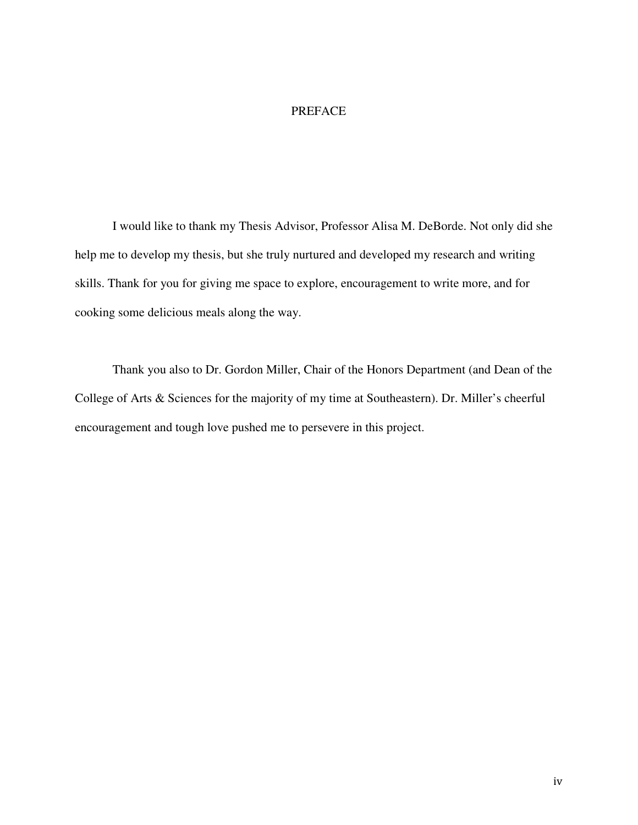# PREFACE

I would like to thank my Thesis Advisor, Professor Alisa M. DeBorde. Not only did she help me to develop my thesis, but she truly nurtured and developed my research and writing skills. Thank for you for giving me space to explore, encouragement to write more, and for cooking some delicious meals along the way.

Thank you also to Dr. Gordon Miller, Chair of the Honors Department (and Dean of the College of Arts & Sciences for the majority of my time at Southeastern). Dr. Miller's cheerful encouragement and tough love pushed me to persevere in this project.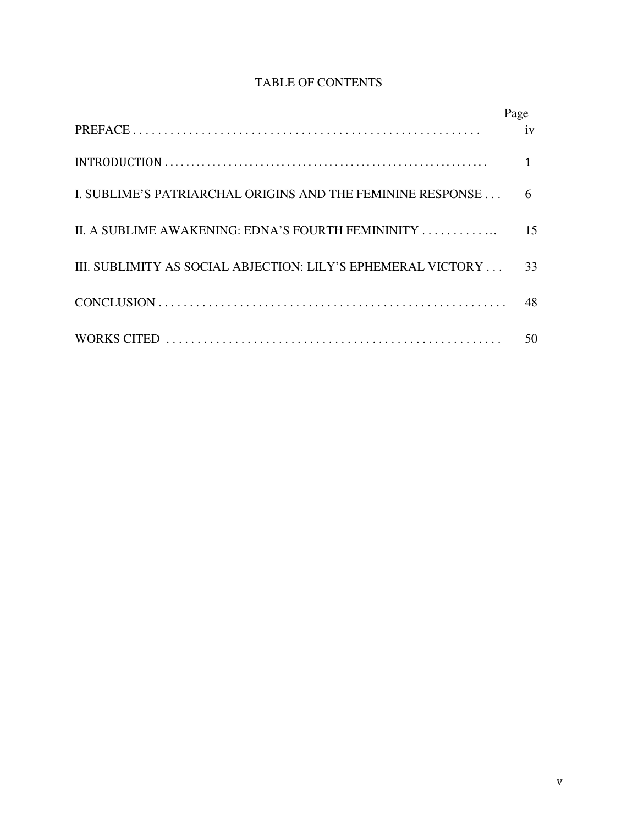# TABLE OF CONTENTS

|                                                              | Page |
|--------------------------------------------------------------|------|
|                                                              | iv   |
|                                                              |      |
| I. SUBLIME'S PATRIARCHAL ORIGINS AND THE FEMININE RESPONSE   | 6    |
| II. A SUBLIME AWAKENING: EDNA'S FOURTH FEMININITY            | 15   |
| III. SUBLIMITY AS SOCIAL ABJECTION: LILY'S EPHEMERAL VICTORY | 33   |
|                                                              | 48   |
|                                                              | 50   |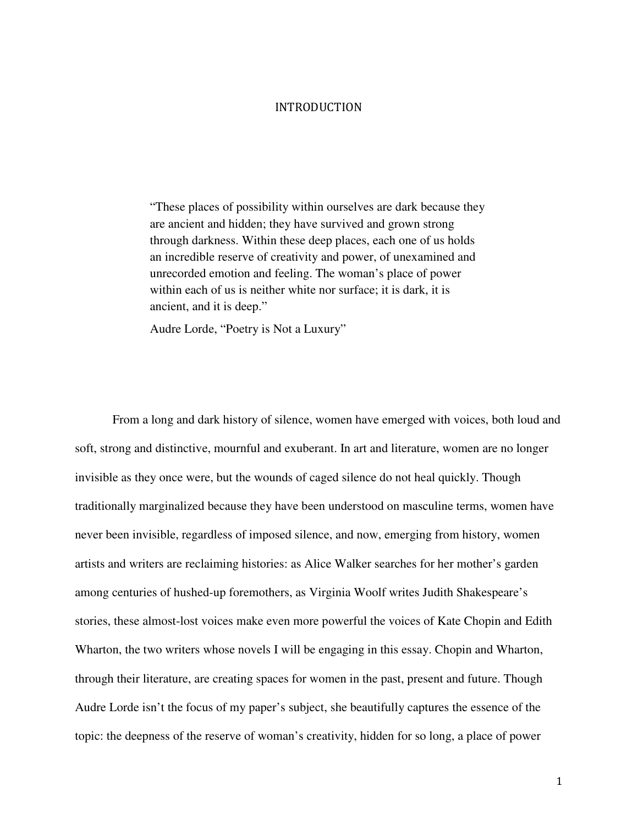#### INTRODUCTION

"These places of possibility within ourselves are dark because they are ancient and hidden; they have survived and grown strong through darkness. Within these deep places, each one of us holds an incredible reserve of creativity and power, of unexamined and unrecorded emotion and feeling. The woman's place of power within each of us is neither white nor surface; it is dark, it is ancient, and it is deep."

Audre Lorde, "Poetry is Not a Luxury"

From a long and dark history of silence, women have emerged with voices, both loud and soft, strong and distinctive, mournful and exuberant. In art and literature, women are no longer invisible as they once were, but the wounds of caged silence do not heal quickly. Though traditionally marginalized because they have been understood on masculine terms, women have never been invisible, regardless of imposed silence, and now, emerging from history, women artists and writers are reclaiming histories: as Alice Walker searches for her mother's garden among centuries of hushed-up foremothers, as Virginia Woolf writes Judith Shakespeare's stories, these almost-lost voices make even more powerful the voices of Kate Chopin and Edith Wharton, the two writers whose novels I will be engaging in this essay. Chopin and Wharton, through their literature, are creating spaces for women in the past, present and future. Though Audre Lorde isn't the focus of my paper's subject, she beautifully captures the essence of the topic: the deepness of the reserve of woman's creativity, hidden for so long, a place of power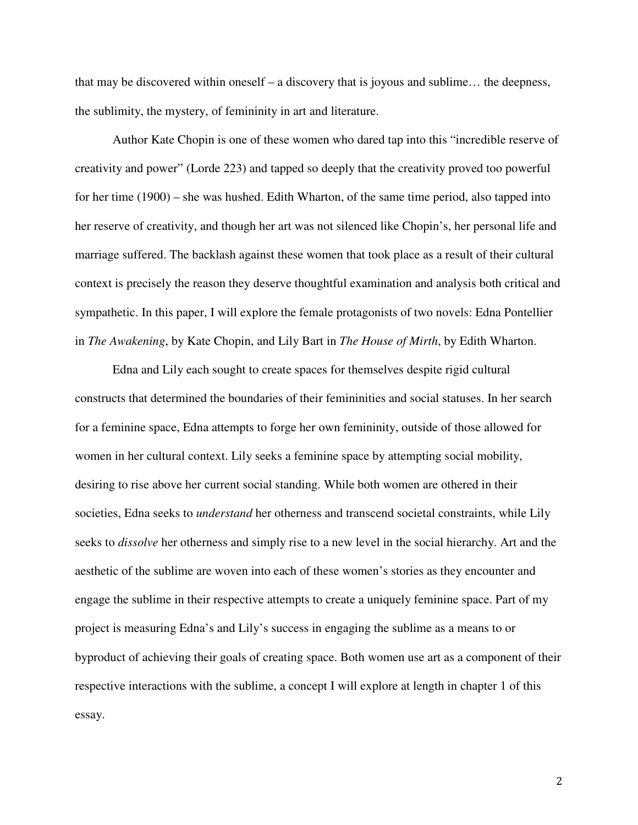that may be discovered within oneself – a discovery that is joyous and sublime… the deepness, the sublimity, the mystery, of femininity in art and literature.

Author Kate Chopin is one of these women who dared tap into this "incredible reserve of creativity and power" (Lorde 223) and tapped so deeply that the creativity proved too powerful for her time (1900) – she was hushed. Edith Wharton, of the same time period, also tapped into her reserve of creativity, and though her art was not silenced like Chopin's, her personal life and marriage suffered. The backlash against these women that took place as a result of their cultural context is precisely the reason they deserve thoughtful examination and analysis both critical and sympathetic. In this paper, I will explore the female protagonists of two novels: Edna Pontellier in *The Awakening*, by Kate Chopin, and Lily Bart in *The House of Mirth*, by Edith Wharton.

Edna and Lily each sought to create spaces for themselves despite rigid cultural constructs that determined the boundaries of their femininities and social statuses. In her search for a feminine space, Edna attempts to forge her own femininity, outside of those allowed for women in her cultural context. Lily seeks a feminine space by attempting social mobility, desiring to rise above her current social standing. While both women are othered in their societies, Edna seeks to *understand* her otherness and transcend societal constraints, while Lily seeks to *dissolve* her otherness and simply rise to a new level in the social hierarchy. Art and the aesthetic of the sublime are woven into each of these women's stories as they encounter and engage the sublime in their respective attempts to create a uniquely feminine space. Part of my project is measuring Edna's and Lily's success in engaging the sublime as a means to or byproduct of achieving their goals of creating space. Both women use art as a component of their respective interactions with the sublime, a concept I will explore at length in chapter 1 of this essay.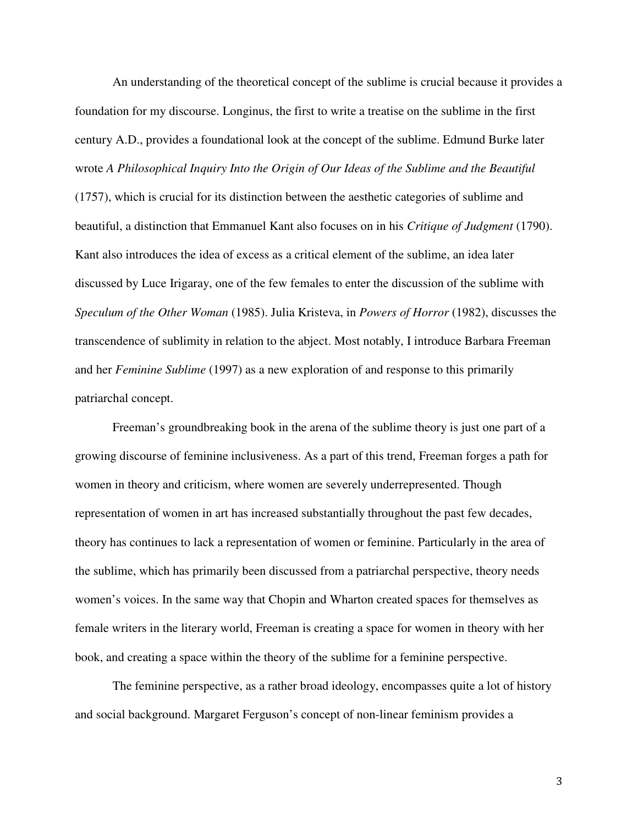An understanding of the theoretical concept of the sublime is crucial because it provides a foundation for my discourse. Longinus, the first to write a treatise on the sublime in the first century A.D., provides a foundational look at the concept of the sublime. Edmund Burke later wrote *A Philosophical Inquiry Into the Origin of Our Ideas of the Sublime and the Beautiful* (1757), which is crucial for its distinction between the aesthetic categories of sublime and beautiful, a distinction that Emmanuel Kant also focuses on in his *Critique of Judgment* (1790). Kant also introduces the idea of excess as a critical element of the sublime, an idea later discussed by Luce Irigaray, one of the few females to enter the discussion of the sublime with *Speculum of the Other Woman* (1985). Julia Kristeva, in *Powers of Horror* (1982), discusses the transcendence of sublimity in relation to the abject. Most notably, I introduce Barbara Freeman and her *Feminine Sublime* (1997) as a new exploration of and response to this primarily patriarchal concept.

Freeman's groundbreaking book in the arena of the sublime theory is just one part of a growing discourse of feminine inclusiveness. As a part of this trend, Freeman forges a path for women in theory and criticism, where women are severely underrepresented. Though representation of women in art has increased substantially throughout the past few decades, theory has continues to lack a representation of women or feminine. Particularly in the area of the sublime, which has primarily been discussed from a patriarchal perspective, theory needs women's voices. In the same way that Chopin and Wharton created spaces for themselves as female writers in the literary world, Freeman is creating a space for women in theory with her book, and creating a space within the theory of the sublime for a feminine perspective.

The feminine perspective, as a rather broad ideology, encompasses quite a lot of history and social background. Margaret Ferguson's concept of non-linear feminism provides a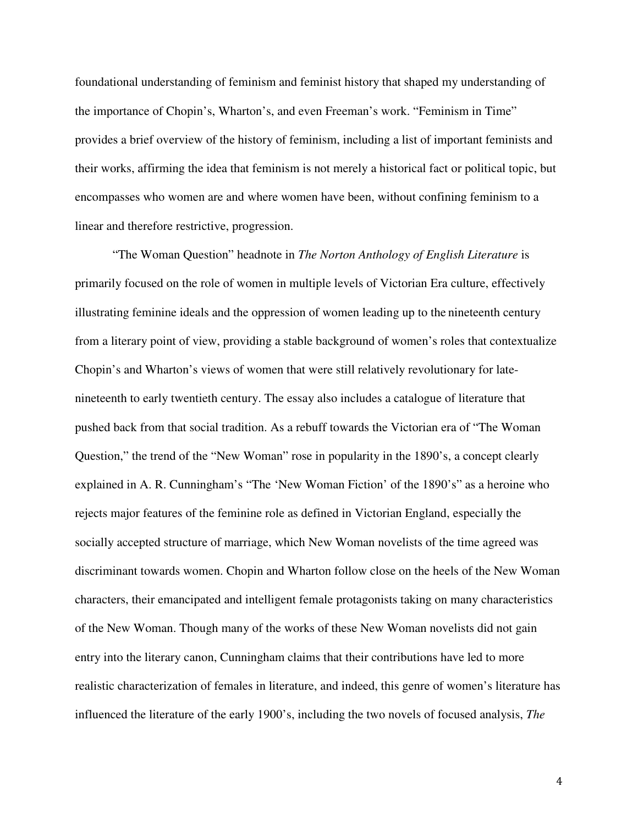foundational understanding of feminism and feminist history that shaped my understanding of the importance of Chopin's, Wharton's, and even Freeman's work. "Feminism in Time" provides a brief overview of the history of feminism, including a list of important feminists and their works, affirming the idea that feminism is not merely a historical fact or political topic, but encompasses who women are and where women have been, without confining feminism to a linear and therefore restrictive, progression.

"The Woman Question" headnote in *The Norton Anthology of English Literature* is primarily focused on the role of women in multiple levels of Victorian Era culture, effectively illustrating feminine ideals and the oppression of women leading up to the nineteenth century from a literary point of view, providing a stable background of women's roles that contextualize Chopin's and Wharton's views of women that were still relatively revolutionary for latenineteenth to early twentieth century. The essay also includes a catalogue of literature that pushed back from that social tradition. As a rebuff towards the Victorian era of "The Woman Question," the trend of the "New Woman" rose in popularity in the 1890's, a concept clearly explained in A. R. Cunningham's "The 'New Woman Fiction' of the 1890's" as a heroine who rejects major features of the feminine role as defined in Victorian England, especially the socially accepted structure of marriage, which New Woman novelists of the time agreed was discriminant towards women. Chopin and Wharton follow close on the heels of the New Woman characters, their emancipated and intelligent female protagonists taking on many characteristics of the New Woman. Though many of the works of these New Woman novelists did not gain entry into the literary canon, Cunningham claims that their contributions have led to more realistic characterization of females in literature, and indeed, this genre of women's literature has influenced the literature of the early 1900's, including the two novels of focused analysis, *The*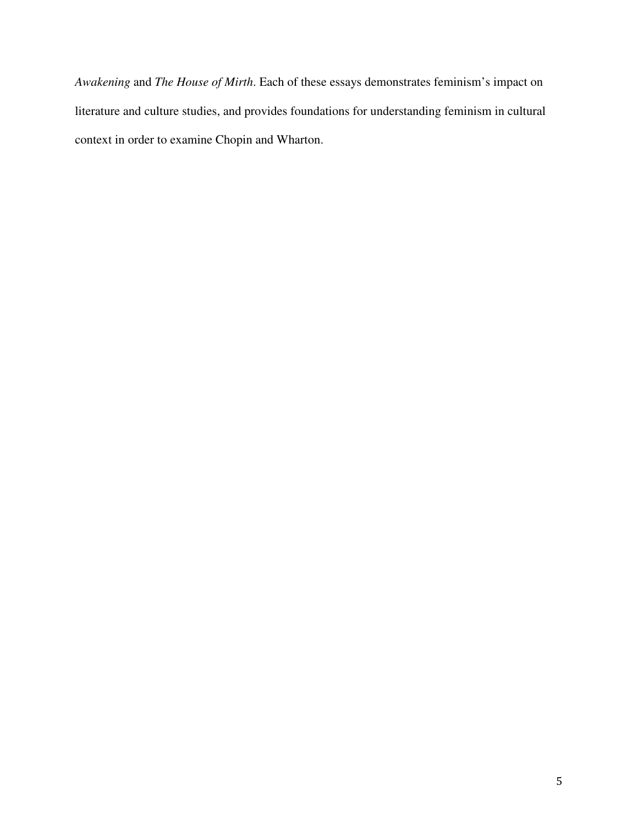*Awakening* and *The House of Mirth*. Each of these essays demonstrates feminism's impact on literature and culture studies, and provides foundations for understanding feminism in cultural context in order to examine Chopin and Wharton.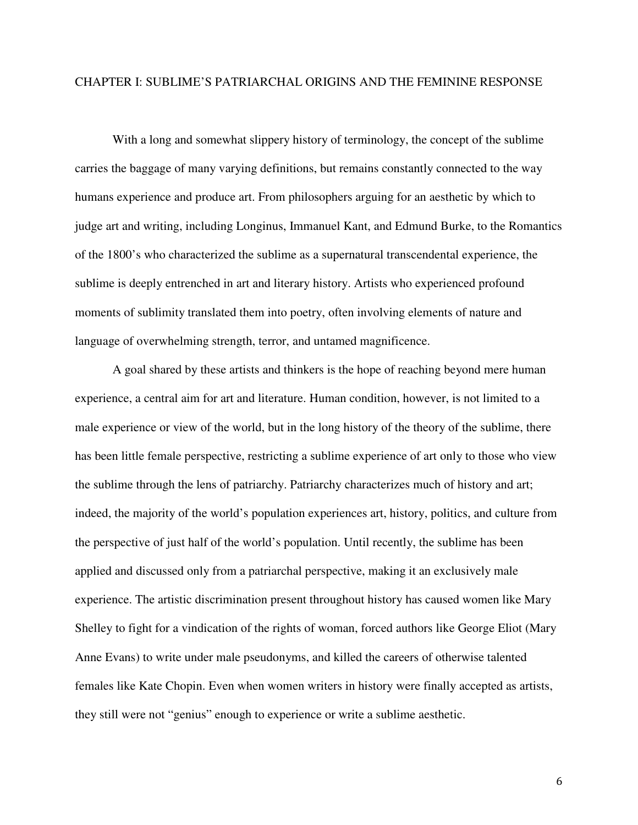# CHAPTER I: SUBLIME'S PATRIARCHAL ORIGINS AND THE FEMININE RESPONSE

With a long and somewhat slippery history of terminology, the concept of the sublime carries the baggage of many varying definitions, but remains constantly connected to the way humans experience and produce art. From philosophers arguing for an aesthetic by which to judge art and writing, including Longinus, Immanuel Kant, and Edmund Burke, to the Romantics of the 1800's who characterized the sublime as a supernatural transcendental experience, the sublime is deeply entrenched in art and literary history. Artists who experienced profound moments of sublimity translated them into poetry, often involving elements of nature and language of overwhelming strength, terror, and untamed magnificence.

A goal shared by these artists and thinkers is the hope of reaching beyond mere human experience, a central aim for art and literature. Human condition, however, is not limited to a male experience or view of the world, but in the long history of the theory of the sublime, there has been little female perspective, restricting a sublime experience of art only to those who view the sublime through the lens of patriarchy. Patriarchy characterizes much of history and art; indeed, the majority of the world's population experiences art, history, politics, and culture from the perspective of just half of the world's population. Until recently, the sublime has been applied and discussed only from a patriarchal perspective, making it an exclusively male experience. The artistic discrimination present throughout history has caused women like Mary Shelley to fight for a vindication of the rights of woman, forced authors like George Eliot (Mary Anne Evans) to write under male pseudonyms, and killed the careers of otherwise talented females like Kate Chopin. Even when women writers in history were finally accepted as artists, they still were not "genius" enough to experience or write a sublime aesthetic.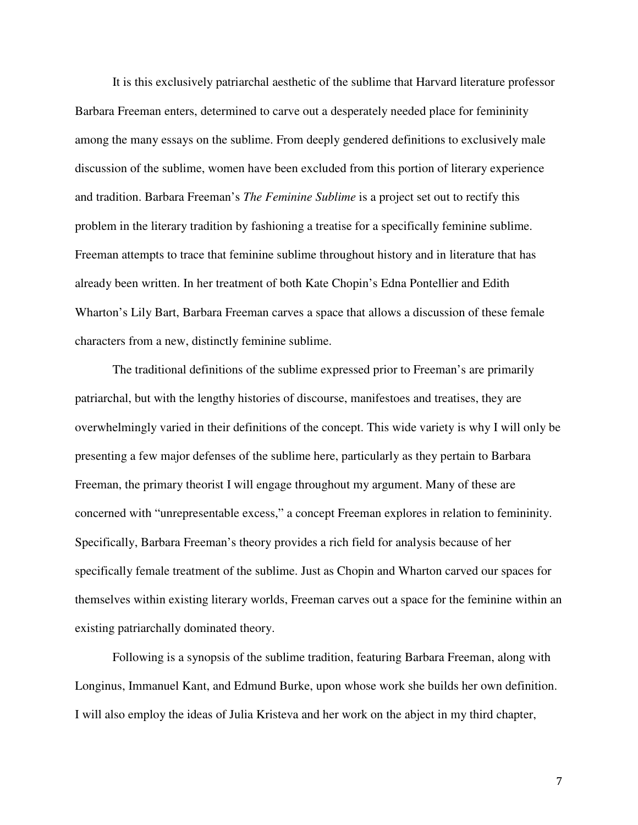It is this exclusively patriarchal aesthetic of the sublime that Harvard literature professor Barbara Freeman enters, determined to carve out a desperately needed place for femininity among the many essays on the sublime. From deeply gendered definitions to exclusively male discussion of the sublime, women have been excluded from this portion of literary experience and tradition. Barbara Freeman's *The Feminine Sublime* is a project set out to rectify this problem in the literary tradition by fashioning a treatise for a specifically feminine sublime. Freeman attempts to trace that feminine sublime throughout history and in literature that has already been written. In her treatment of both Kate Chopin's Edna Pontellier and Edith Wharton's Lily Bart, Barbara Freeman carves a space that allows a discussion of these female characters from a new, distinctly feminine sublime.

The traditional definitions of the sublime expressed prior to Freeman's are primarily patriarchal, but with the lengthy histories of discourse, manifestoes and treatises, they are overwhelmingly varied in their definitions of the concept. This wide variety is why I will only be presenting a few major defenses of the sublime here, particularly as they pertain to Barbara Freeman, the primary theorist I will engage throughout my argument. Many of these are concerned with "unrepresentable excess," a concept Freeman explores in relation to femininity. Specifically, Barbara Freeman's theory provides a rich field for analysis because of her specifically female treatment of the sublime. Just as Chopin and Wharton carved our spaces for themselves within existing literary worlds, Freeman carves out a space for the feminine within an existing patriarchally dominated theory.

Following is a synopsis of the sublime tradition, featuring Barbara Freeman, along with Longinus, Immanuel Kant, and Edmund Burke, upon whose work she builds her own definition. I will also employ the ideas of Julia Kristeva and her work on the abject in my third chapter,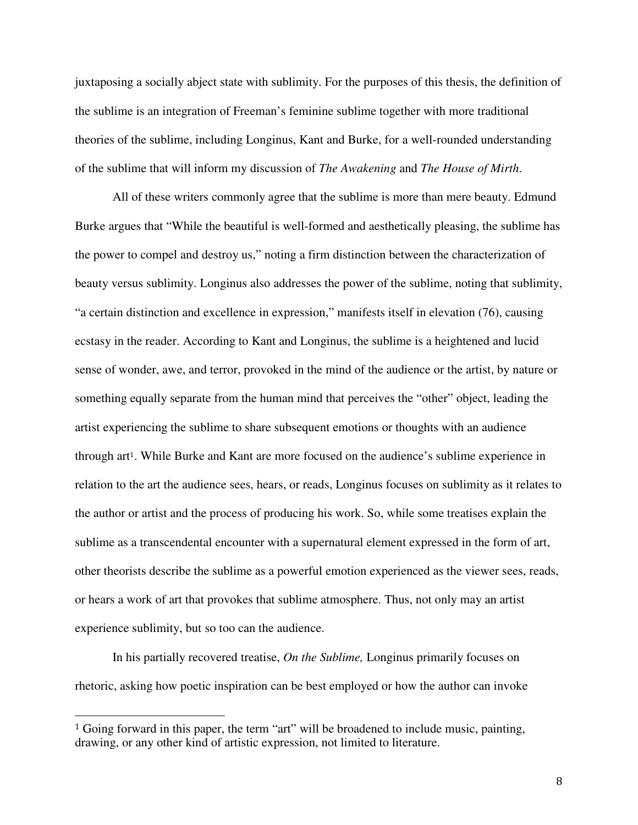juxtaposing a socially abject state with sublimity. For the purposes of this thesis, the definition of the sublime is an integration of Freeman's feminine sublime together with more traditional theories of the sublime, including Longinus, Kant and Burke, for a well-rounded understanding of the sublime that will inform my discussion of *The Awakening* and *The House of Mirth*.

All of these writers commonly agree that the sublime is more than mere beauty. Edmund Burke argues that "While the beautiful is well-formed and aesthetically pleasing, the sublime has the power to compel and destroy us," noting a firm distinction between the characterization of beauty versus sublimity. Longinus also addresses the power of the sublime, noting that sublimity, "a certain distinction and excellence in expression," manifests itself in elevation (76), causing ecstasy in the reader. According to Kant and Longinus, the sublime is a heightened and lucid sense of wonder, awe, and terror, provoked in the mind of the audience or the artist, by nature or something equally separate from the human mind that perceives the "other" object, leading the artist experiencing the sublime to share subsequent emotions or thoughts with an audience through art1. While Burke and Kant are more focused on the audience's sublime experience in relation to the art the audience sees, hears, or reads, Longinus focuses on sublimity as it relates to the author or artist and the process of producing his work. So, while some treatises explain the sublime as a transcendental encounter with a supernatural element expressed in the form of art, other theorists describe the sublime as a powerful emotion experienced as the viewer sees, reads, or hears a work of art that provokes that sublime atmosphere. Thus, not only may an artist experience sublimity, but so too can the audience.

In his partially recovered treatise, *On the Sublime,* Longinus primarily focuses on rhetoric, asking how poetic inspiration can be best employed or how the author can invoke

l

<sup>1</sup> Going forward in this paper, the term "art" will be broadened to include music, painting, drawing, or any other kind of artistic expression, not limited to literature.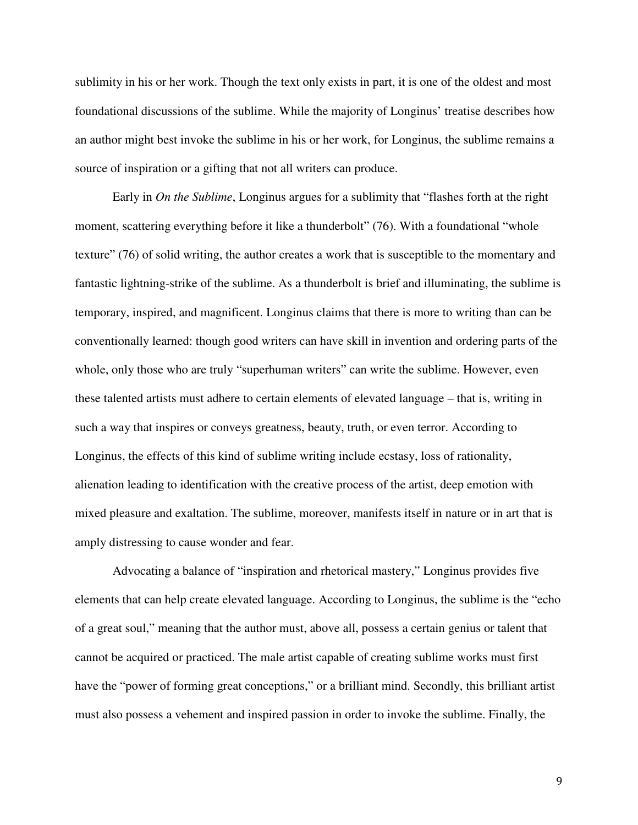sublimity in his or her work. Though the text only exists in part, it is one of the oldest and most foundational discussions of the sublime. While the majority of Longinus' treatise describes how an author might best invoke the sublime in his or her work, for Longinus, the sublime remains a source of inspiration or a gifting that not all writers can produce.

Early in *On the Sublime*, Longinus argues for a sublimity that "flashes forth at the right moment, scattering everything before it like a thunderbolt" (76). With a foundational "whole texture" (76) of solid writing, the author creates a work that is susceptible to the momentary and fantastic lightning-strike of the sublime. As a thunderbolt is brief and illuminating, the sublime is temporary, inspired, and magnificent. Longinus claims that there is more to writing than can be conventionally learned: though good writers can have skill in invention and ordering parts of the whole, only those who are truly "superhuman writers" can write the sublime. However, even these talented artists must adhere to certain elements of elevated language – that is, writing in such a way that inspires or conveys greatness, beauty, truth, or even terror. According to Longinus, the effects of this kind of sublime writing include ecstasy, loss of rationality, alienation leading to identification with the creative process of the artist, deep emotion with mixed pleasure and exaltation. The sublime, moreover, manifests itself in nature or in art that is amply distressing to cause wonder and fear.

Advocating a balance of "inspiration and rhetorical mastery," Longinus provides five elements that can help create elevated language. According to Longinus, the sublime is the "echo of a great soul," meaning that the author must, above all, possess a certain genius or talent that cannot be acquired or practiced. The male artist capable of creating sublime works must first have the "power of forming great conceptions," or a brilliant mind. Secondly, this brilliant artist must also possess a vehement and inspired passion in order to invoke the sublime. Finally, the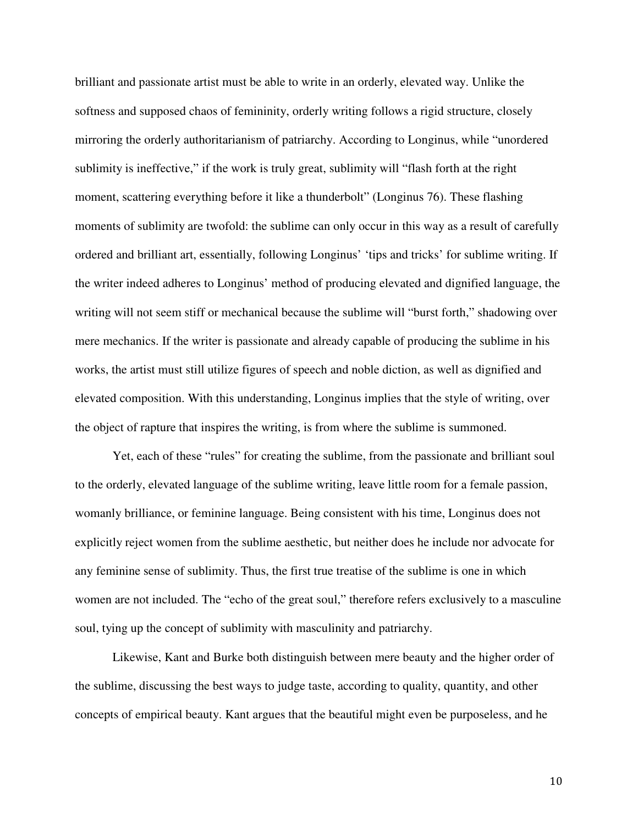brilliant and passionate artist must be able to write in an orderly, elevated way. Unlike the softness and supposed chaos of femininity, orderly writing follows a rigid structure, closely mirroring the orderly authoritarianism of patriarchy. According to Longinus, while "unordered sublimity is ineffective," if the work is truly great, sublimity will "flash forth at the right moment, scattering everything before it like a thunderbolt" (Longinus 76). These flashing moments of sublimity are twofold: the sublime can only occur in this way as a result of carefully ordered and brilliant art, essentially, following Longinus' 'tips and tricks' for sublime writing. If the writer indeed adheres to Longinus' method of producing elevated and dignified language, the writing will not seem stiff or mechanical because the sublime will "burst forth," shadowing over mere mechanics. If the writer is passionate and already capable of producing the sublime in his works, the artist must still utilize figures of speech and noble diction, as well as dignified and elevated composition. With this understanding, Longinus implies that the style of writing, over the object of rapture that inspires the writing, is from where the sublime is summoned.

Yet, each of these "rules" for creating the sublime, from the passionate and brilliant soul to the orderly, elevated language of the sublime writing, leave little room for a female passion, womanly brilliance, or feminine language. Being consistent with his time, Longinus does not explicitly reject women from the sublime aesthetic, but neither does he include nor advocate for any feminine sense of sublimity. Thus, the first true treatise of the sublime is one in which women are not included. The "echo of the great soul," therefore refers exclusively to a masculine soul, tying up the concept of sublimity with masculinity and patriarchy.

Likewise, Kant and Burke both distinguish between mere beauty and the higher order of the sublime, discussing the best ways to judge taste, according to quality, quantity, and other concepts of empirical beauty. Kant argues that the beautiful might even be purposeless, and he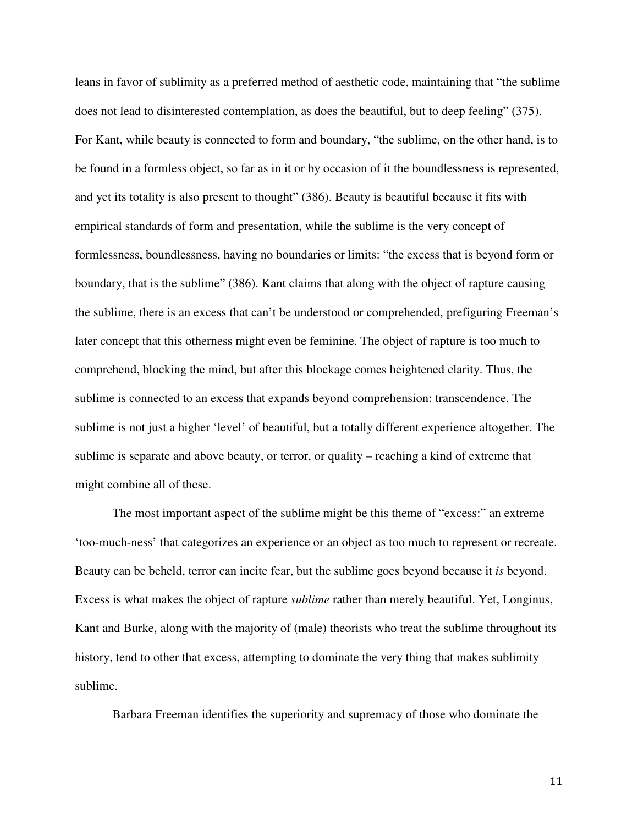leans in favor of sublimity as a preferred method of aesthetic code, maintaining that "the sublime does not lead to disinterested contemplation, as does the beautiful, but to deep feeling" (375). For Kant, while beauty is connected to form and boundary, "the sublime, on the other hand, is to be found in a formless object, so far as in it or by occasion of it the boundlessness is represented, and yet its totality is also present to thought" (386). Beauty is beautiful because it fits with empirical standards of form and presentation, while the sublime is the very concept of formlessness, boundlessness, having no boundaries or limits: "the excess that is beyond form or boundary, that is the sublime" (386). Kant claims that along with the object of rapture causing the sublime, there is an excess that can't be understood or comprehended, prefiguring Freeman's later concept that this otherness might even be feminine. The object of rapture is too much to comprehend, blocking the mind, but after this blockage comes heightened clarity. Thus, the sublime is connected to an excess that expands beyond comprehension: transcendence. The sublime is not just a higher 'level' of beautiful, but a totally different experience altogether. The sublime is separate and above beauty, or terror, or quality – reaching a kind of extreme that might combine all of these.

The most important aspect of the sublime might be this theme of "excess:" an extreme 'too-much-ness' that categorizes an experience or an object as too much to represent or recreate. Beauty can be beheld, terror can incite fear, but the sublime goes beyond because it *is* beyond. Excess is what makes the object of rapture *sublime* rather than merely beautiful. Yet, Longinus, Kant and Burke, along with the majority of (male) theorists who treat the sublime throughout its history, tend to other that excess, attempting to dominate the very thing that makes sublimity sublime.

Barbara Freeman identifies the superiority and supremacy of those who dominate the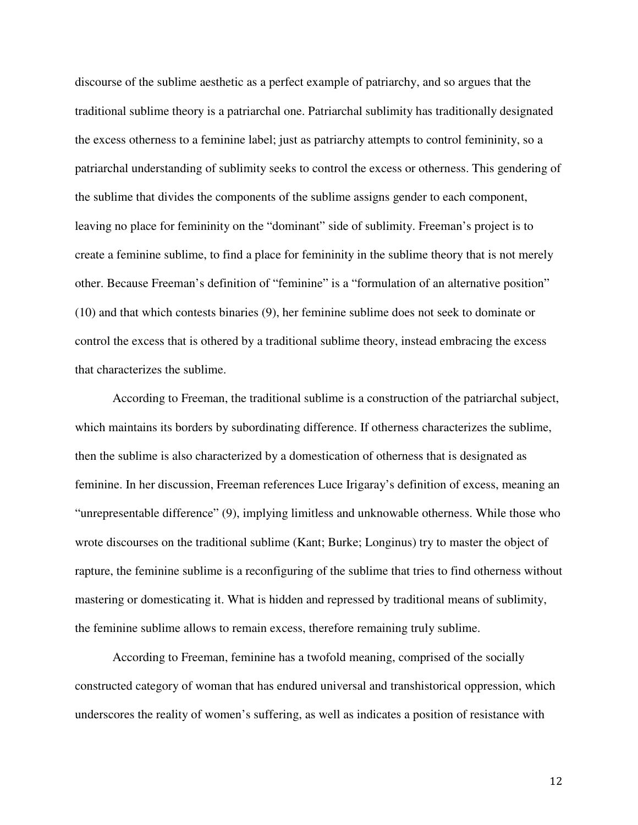discourse of the sublime aesthetic as a perfect example of patriarchy, and so argues that the traditional sublime theory is a patriarchal one. Patriarchal sublimity has traditionally designated the excess otherness to a feminine label; just as patriarchy attempts to control femininity, so a patriarchal understanding of sublimity seeks to control the excess or otherness. This gendering of the sublime that divides the components of the sublime assigns gender to each component, leaving no place for femininity on the "dominant" side of sublimity. Freeman's project is to create a feminine sublime, to find a place for femininity in the sublime theory that is not merely other. Because Freeman's definition of "feminine" is a "formulation of an alternative position" (10) and that which contests binaries (9), her feminine sublime does not seek to dominate or control the excess that is othered by a traditional sublime theory, instead embracing the excess that characterizes the sublime.

According to Freeman, the traditional sublime is a construction of the patriarchal subject, which maintains its borders by subordinating difference. If otherness characterizes the sublime, then the sublime is also characterized by a domestication of otherness that is designated as feminine. In her discussion, Freeman references Luce Irigaray's definition of excess, meaning an "unrepresentable difference" (9), implying limitless and unknowable otherness. While those who wrote discourses on the traditional sublime (Kant; Burke; Longinus) try to master the object of rapture, the feminine sublime is a reconfiguring of the sublime that tries to find otherness without mastering or domesticating it. What is hidden and repressed by traditional means of sublimity, the feminine sublime allows to remain excess, therefore remaining truly sublime.

According to Freeman, feminine has a twofold meaning, comprised of the socially constructed category of woman that has endured universal and transhistorical oppression, which underscores the reality of women's suffering, as well as indicates a position of resistance with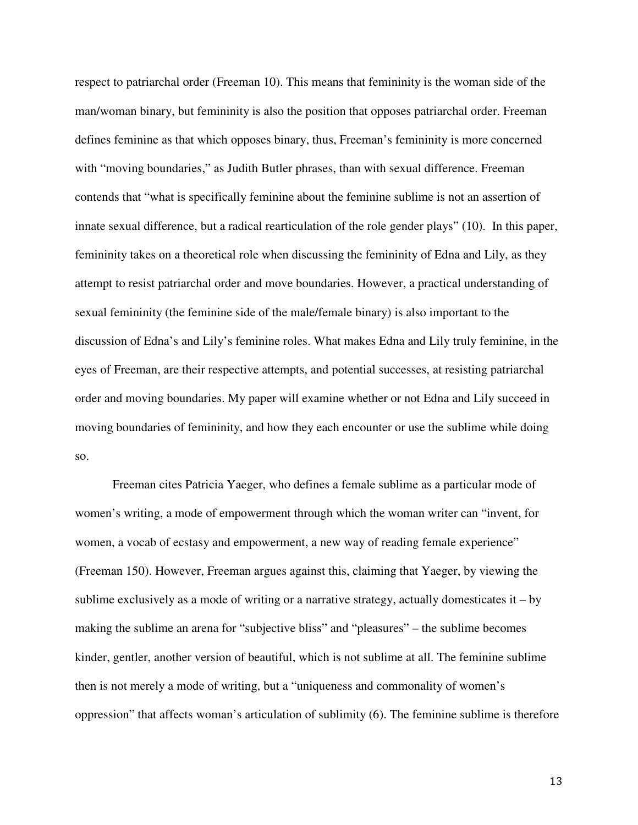respect to patriarchal order (Freeman 10). This means that femininity is the woman side of the man/woman binary, but femininity is also the position that opposes patriarchal order. Freeman defines feminine as that which opposes binary, thus, Freeman's femininity is more concerned with "moving boundaries," as Judith Butler phrases, than with sexual difference. Freeman contends that "what is specifically feminine about the feminine sublime is not an assertion of innate sexual difference, but a radical rearticulation of the role gender plays" (10). In this paper, femininity takes on a theoretical role when discussing the femininity of Edna and Lily, as they attempt to resist patriarchal order and move boundaries. However, a practical understanding of sexual femininity (the feminine side of the male/female binary) is also important to the discussion of Edna's and Lily's feminine roles. What makes Edna and Lily truly feminine, in the eyes of Freeman, are their respective attempts, and potential successes, at resisting patriarchal order and moving boundaries. My paper will examine whether or not Edna and Lily succeed in moving boundaries of femininity, and how they each encounter or use the sublime while doing so.

Freeman cites Patricia Yaeger, who defines a female sublime as a particular mode of women's writing, a mode of empowerment through which the woman writer can "invent, for women, a vocab of ecstasy and empowerment, a new way of reading female experience" (Freeman 150). However, Freeman argues against this, claiming that Yaeger, by viewing the sublime exclusively as a mode of writing or a narrative strategy, actually domesticates  $it - by$ making the sublime an arena for "subjective bliss" and "pleasures" – the sublime becomes kinder, gentler, another version of beautiful, which is not sublime at all. The feminine sublime then is not merely a mode of writing, but a "uniqueness and commonality of women's oppression" that affects woman's articulation of sublimity (6). The feminine sublime is therefore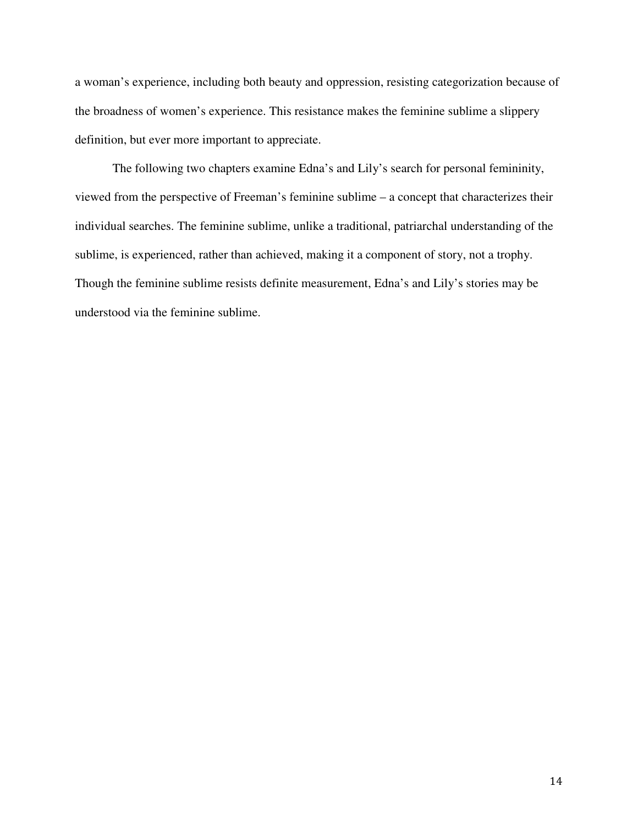a woman's experience, including both beauty and oppression, resisting categorization because of the broadness of women's experience. This resistance makes the feminine sublime a slippery definition, but ever more important to appreciate.

The following two chapters examine Edna's and Lily's search for personal femininity, viewed from the perspective of Freeman's feminine sublime – a concept that characterizes their individual searches. The feminine sublime, unlike a traditional, patriarchal understanding of the sublime, is experienced, rather than achieved, making it a component of story, not a trophy. Though the feminine sublime resists definite measurement, Edna's and Lily's stories may be understood via the feminine sublime.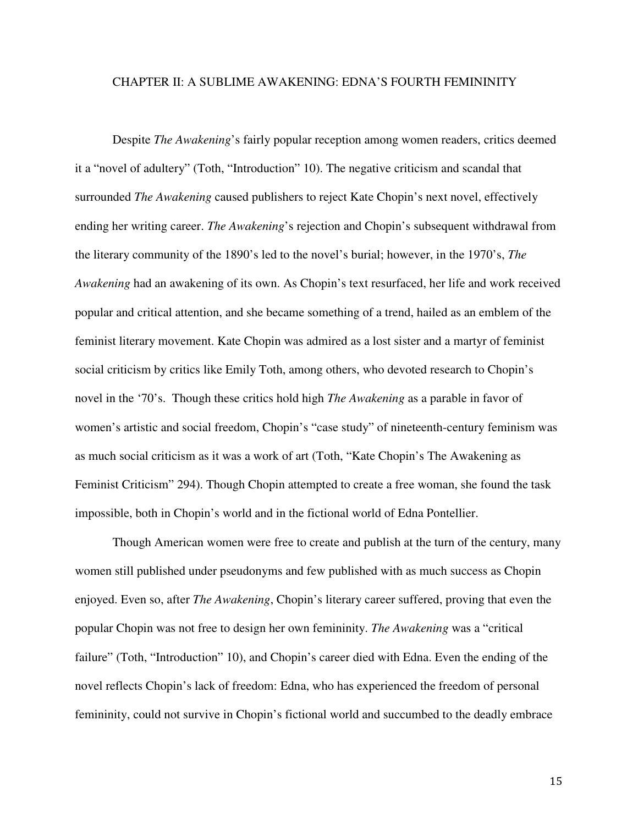## CHAPTER II: A SUBLIME AWAKENING: EDNA'S FOURTH FEMININITY

Despite *The Awakening*'s fairly popular reception among women readers, critics deemed it a "novel of adultery" (Toth, "Introduction" 10). The negative criticism and scandal that surrounded *The Awakening* caused publishers to reject Kate Chopin's next novel, effectively ending her writing career. *The Awakening*'s rejection and Chopin's subsequent withdrawal from the literary community of the 1890's led to the novel's burial; however, in the 1970's, *The Awakening* had an awakening of its own. As Chopin's text resurfaced, her life and work received popular and critical attention, and she became something of a trend, hailed as an emblem of the feminist literary movement. Kate Chopin was admired as a lost sister and a martyr of feminist social criticism by critics like Emily Toth, among others, who devoted research to Chopin's novel in the '70's. Though these critics hold high *The Awakening* as a parable in favor of women's artistic and social freedom, Chopin's "case study" of nineteenth-century feminism was as much social criticism as it was a work of art (Toth, "Kate Chopin's The Awakening as Feminist Criticism" 294). Though Chopin attempted to create a free woman, she found the task impossible, both in Chopin's world and in the fictional world of Edna Pontellier.

Though American women were free to create and publish at the turn of the century, many women still published under pseudonyms and few published with as much success as Chopin enjoyed. Even so, after *The Awakening*, Chopin's literary career suffered, proving that even the popular Chopin was not free to design her own femininity. *The Awakening* was a "critical failure" (Toth, "Introduction" 10), and Chopin's career died with Edna. Even the ending of the novel reflects Chopin's lack of freedom: Edna, who has experienced the freedom of personal femininity, could not survive in Chopin's fictional world and succumbed to the deadly embrace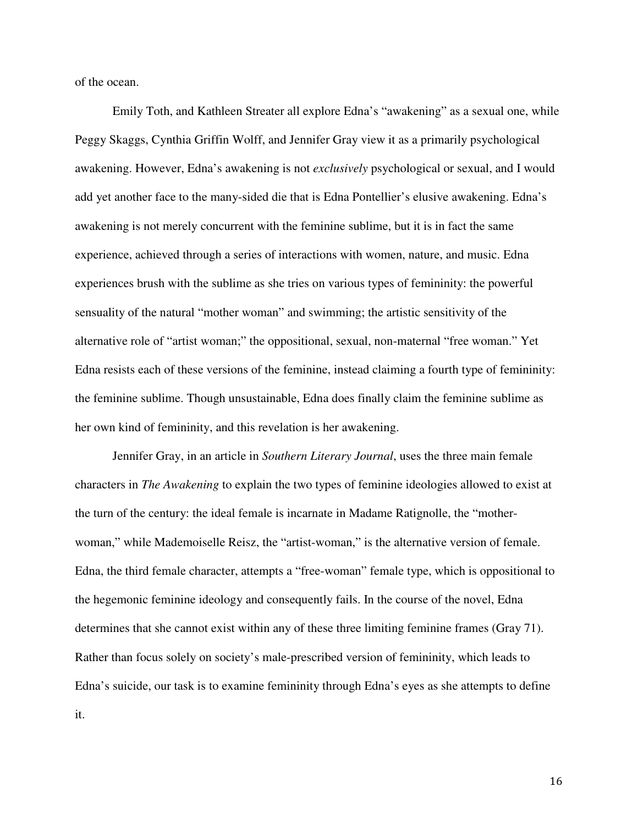of the ocean.

Emily Toth, and Kathleen Streater all explore Edna's "awakening" as a sexual one, while Peggy Skaggs, Cynthia Griffin Wolff, and Jennifer Gray view it as a primarily psychological awakening. However, Edna's awakening is not *exclusively* psychological or sexual, and I would add yet another face to the many-sided die that is Edna Pontellier's elusive awakening. Edna's awakening is not merely concurrent with the feminine sublime, but it is in fact the same experience, achieved through a series of interactions with women, nature, and music. Edna experiences brush with the sublime as she tries on various types of femininity: the powerful sensuality of the natural "mother woman" and swimming; the artistic sensitivity of the alternative role of "artist woman;" the oppositional, sexual, non-maternal "free woman." Yet Edna resists each of these versions of the feminine, instead claiming a fourth type of femininity: the feminine sublime. Though unsustainable, Edna does finally claim the feminine sublime as her own kind of femininity, and this revelation is her awakening.

Jennifer Gray, in an article in *Southern Literary Journal*, uses the three main female characters in *The Awakening* to explain the two types of feminine ideologies allowed to exist at the turn of the century: the ideal female is incarnate in Madame Ratignolle, the "motherwoman," while Mademoiselle Reisz, the "artist-woman," is the alternative version of female. Edna, the third female character, attempts a "free-woman" female type, which is oppositional to the hegemonic feminine ideology and consequently fails. In the course of the novel, Edna determines that she cannot exist within any of these three limiting feminine frames (Gray 71). Rather than focus solely on society's male-prescribed version of femininity, which leads to Edna's suicide, our task is to examine femininity through Edna's eyes as she attempts to define it.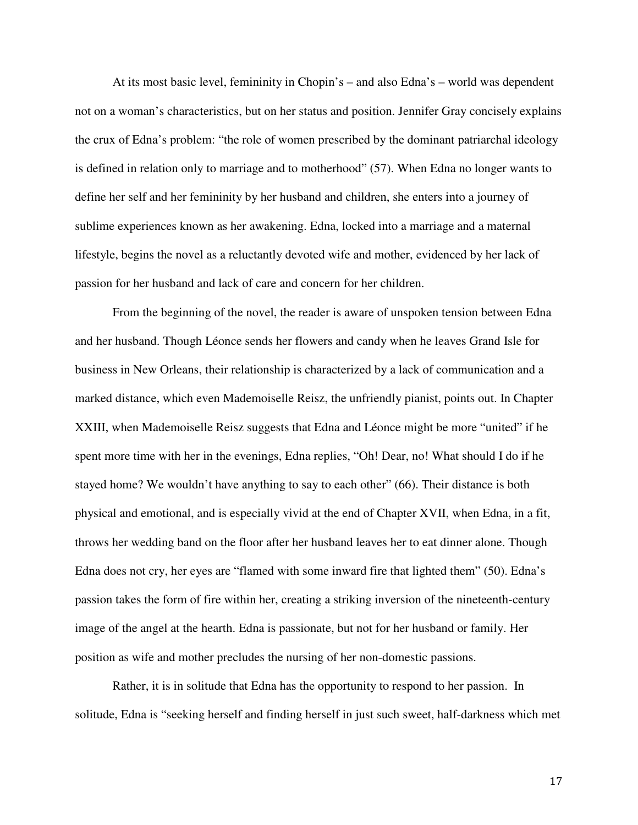At its most basic level, femininity in Chopin's – and also Edna's – world was dependent not on a woman's characteristics, but on her status and position. Jennifer Gray concisely explains the crux of Edna's problem: "the role of women prescribed by the dominant patriarchal ideology is defined in relation only to marriage and to motherhood" (57). When Edna no longer wants to define her self and her femininity by her husband and children, she enters into a journey of sublime experiences known as her awakening. Edna, locked into a marriage and a maternal lifestyle, begins the novel as a reluctantly devoted wife and mother, evidenced by her lack of passion for her husband and lack of care and concern for her children.

From the beginning of the novel, the reader is aware of unspoken tension between Edna and her husband. Though Léonce sends her flowers and candy when he leaves Grand Isle for business in New Orleans, their relationship is characterized by a lack of communication and a marked distance, which even Mademoiselle Reisz, the unfriendly pianist, points out. In Chapter XXIII, when Mademoiselle Reisz suggests that Edna and Léonce might be more "united" if he spent more time with her in the evenings, Edna replies, "Oh! Dear, no! What should I do if he stayed home? We wouldn't have anything to say to each other" (66). Their distance is both physical and emotional, and is especially vivid at the end of Chapter XVII, when Edna, in a fit, throws her wedding band on the floor after her husband leaves her to eat dinner alone. Though Edna does not cry, her eyes are "flamed with some inward fire that lighted them" (50). Edna's passion takes the form of fire within her, creating a striking inversion of the nineteenth-century image of the angel at the hearth. Edna is passionate, but not for her husband or family. Her position as wife and mother precludes the nursing of her non-domestic passions.

Rather, it is in solitude that Edna has the opportunity to respond to her passion. In solitude, Edna is "seeking herself and finding herself in just such sweet, half-darkness which met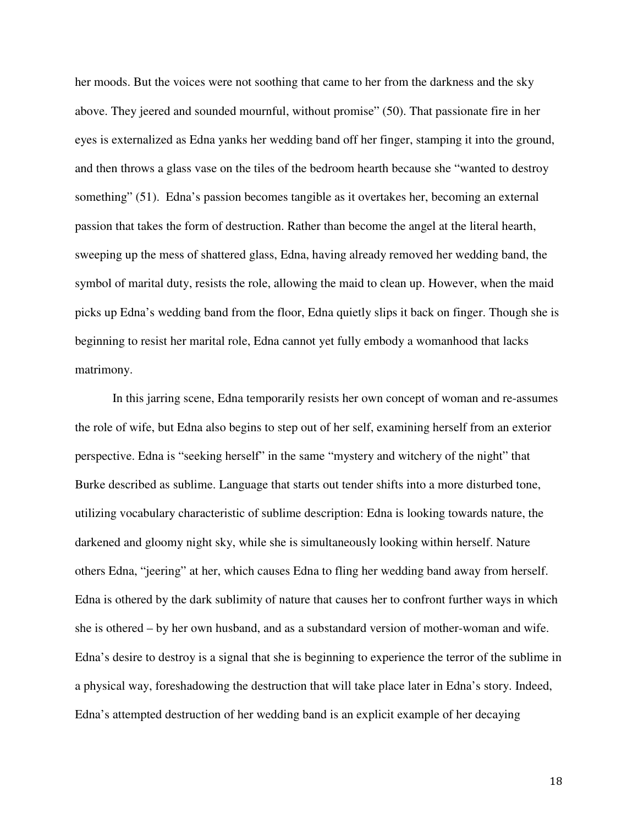her moods. But the voices were not soothing that came to her from the darkness and the sky above. They jeered and sounded mournful, without promise" (50). That passionate fire in her eyes is externalized as Edna yanks her wedding band off her finger, stamping it into the ground, and then throws a glass vase on the tiles of the bedroom hearth because she "wanted to destroy something" (51). Edna's passion becomes tangible as it overtakes her, becoming an external passion that takes the form of destruction. Rather than become the angel at the literal hearth, sweeping up the mess of shattered glass, Edna, having already removed her wedding band, the symbol of marital duty, resists the role, allowing the maid to clean up. However, when the maid picks up Edna's wedding band from the floor, Edna quietly slips it back on finger. Though she is beginning to resist her marital role, Edna cannot yet fully embody a womanhood that lacks matrimony.

In this jarring scene, Edna temporarily resists her own concept of woman and re-assumes the role of wife, but Edna also begins to step out of her self, examining herself from an exterior perspective. Edna is "seeking herself" in the same "mystery and witchery of the night" that Burke described as sublime. Language that starts out tender shifts into a more disturbed tone, utilizing vocabulary characteristic of sublime description: Edna is looking towards nature, the darkened and gloomy night sky, while she is simultaneously looking within herself. Nature others Edna, "jeering" at her, which causes Edna to fling her wedding band away from herself. Edna is othered by the dark sublimity of nature that causes her to confront further ways in which she is othered – by her own husband, and as a substandard version of mother-woman and wife. Edna's desire to destroy is a signal that she is beginning to experience the terror of the sublime in a physical way, foreshadowing the destruction that will take place later in Edna's story. Indeed, Edna's attempted destruction of her wedding band is an explicit example of her decaying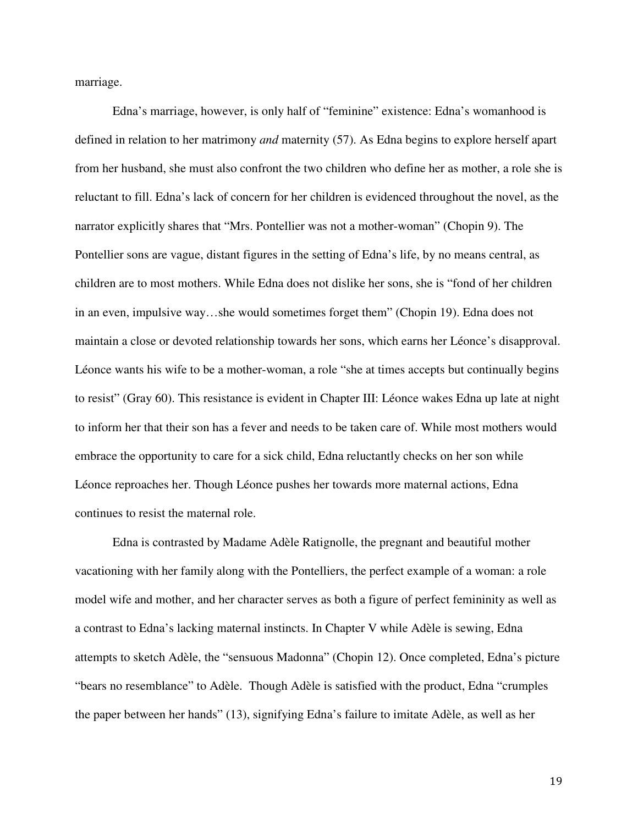marriage.

Edna's marriage, however, is only half of "feminine" existence: Edna's womanhood is defined in relation to her matrimony *and* maternity (57). As Edna begins to explore herself apart from her husband, she must also confront the two children who define her as mother, a role she is reluctant to fill. Edna's lack of concern for her children is evidenced throughout the novel, as the narrator explicitly shares that "Mrs. Pontellier was not a mother-woman" (Chopin 9). The Pontellier sons are vague, distant figures in the setting of Edna's life, by no means central, as children are to most mothers. While Edna does not dislike her sons, she is "fond of her children in an even, impulsive way…she would sometimes forget them" (Chopin 19). Edna does not maintain a close or devoted relationship towards her sons, which earns her Léonce's disapproval. Léonce wants his wife to be a mother-woman, a role "she at times accepts but continually begins to resist" (Gray 60). This resistance is evident in Chapter III: Léonce wakes Edna up late at night to inform her that their son has a fever and needs to be taken care of. While most mothers would embrace the opportunity to care for a sick child, Edna reluctantly checks on her son while Léonce reproaches her. Though Léonce pushes her towards more maternal actions, Edna continues to resist the maternal role.

Edna is contrasted by Madame Adèle Ratignolle, the pregnant and beautiful mother vacationing with her family along with the Pontelliers, the perfect example of a woman: a role model wife and mother, and her character serves as both a figure of perfect femininity as well as a contrast to Edna's lacking maternal instincts. In Chapter V while Adèle is sewing, Edna attempts to sketch Adèle, the "sensuous Madonna" (Chopin 12). Once completed, Edna's picture "bears no resemblance" to Adèle. Though Adèle is satisfied with the product, Edna "crumples the paper between her hands" (13), signifying Edna's failure to imitate Adèle, as well as her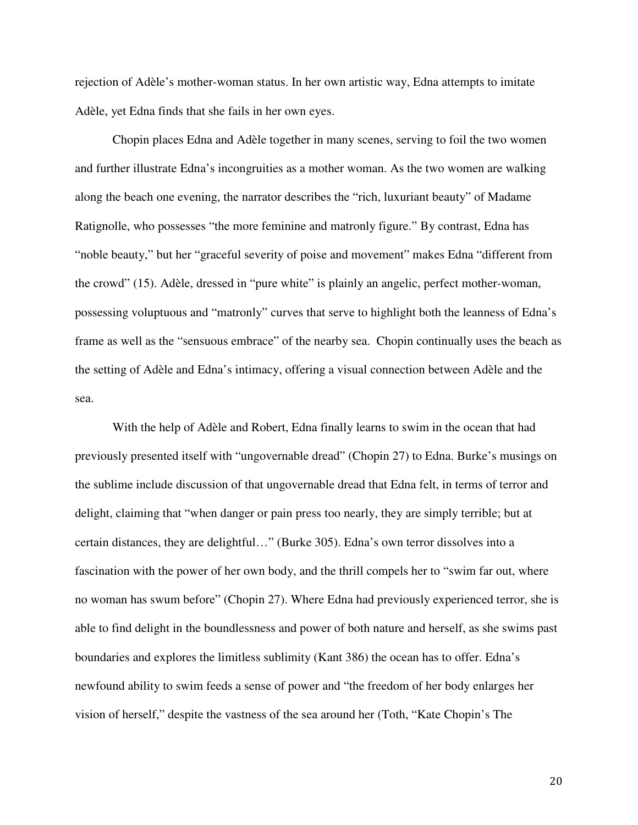rejection of Adèle's mother-woman status. In her own artistic way, Edna attempts to imitate Adèle, yet Edna finds that she fails in her own eyes.

Chopin places Edna and Adèle together in many scenes, serving to foil the two women and further illustrate Edna's incongruities as a mother woman. As the two women are walking along the beach one evening, the narrator describes the "rich, luxuriant beauty" of Madame Ratignolle, who possesses "the more feminine and matronly figure." By contrast, Edna has "noble beauty," but her "graceful severity of poise and movement" makes Edna "different from the crowd" (15). Adèle, dressed in "pure white" is plainly an angelic, perfect mother-woman, possessing voluptuous and "matronly" curves that serve to highlight both the leanness of Edna's frame as well as the "sensuous embrace" of the nearby sea. Chopin continually uses the beach as the setting of Adèle and Edna's intimacy, offering a visual connection between Adèle and the sea.

With the help of Adèle and Robert, Edna finally learns to swim in the ocean that had previously presented itself with "ungovernable dread" (Chopin 27) to Edna. Burke's musings on the sublime include discussion of that ungovernable dread that Edna felt, in terms of terror and delight, claiming that "when danger or pain press too nearly, they are simply terrible; but at certain distances, they are delightful…" (Burke 305). Edna's own terror dissolves into a fascination with the power of her own body, and the thrill compels her to "swim far out, where no woman has swum before" (Chopin 27). Where Edna had previously experienced terror, she is able to find delight in the boundlessness and power of both nature and herself, as she swims past boundaries and explores the limitless sublimity (Kant 386) the ocean has to offer. Edna's newfound ability to swim feeds a sense of power and "the freedom of her body enlarges her vision of herself," despite the vastness of the sea around her (Toth, "Kate Chopin's The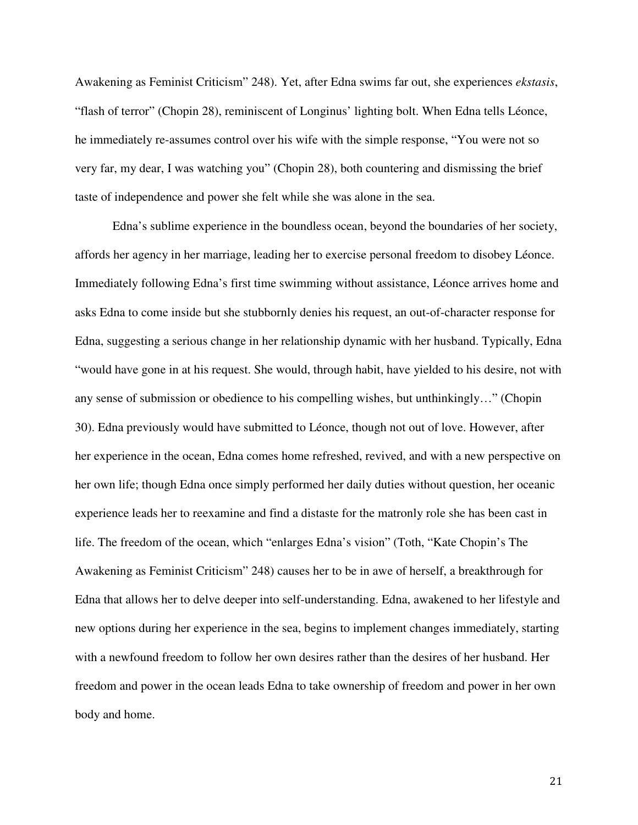Awakening as Feminist Criticism" 248). Yet, after Edna swims far out, she experiences *ekstasis*, "flash of terror" (Chopin 28), reminiscent of Longinus' lighting bolt. When Edna tells Léonce, he immediately re-assumes control over his wife with the simple response, "You were not so very far, my dear, I was watching you" (Chopin 28), both countering and dismissing the brief taste of independence and power she felt while she was alone in the sea.

Edna's sublime experience in the boundless ocean, beyond the boundaries of her society, affords her agency in her marriage, leading her to exercise personal freedom to disobey Léonce. Immediately following Edna's first time swimming without assistance, Léonce arrives home and asks Edna to come inside but she stubbornly denies his request, an out-of-character response for Edna, suggesting a serious change in her relationship dynamic with her husband. Typically, Edna "would have gone in at his request. She would, through habit, have yielded to his desire, not with any sense of submission or obedience to his compelling wishes, but unthinkingly…" (Chopin 30). Edna previously would have submitted to Léonce, though not out of love. However, after her experience in the ocean, Edna comes home refreshed, revived, and with a new perspective on her own life; though Edna once simply performed her daily duties without question, her oceanic experience leads her to reexamine and find a distaste for the matronly role she has been cast in life. The freedom of the ocean, which "enlarges Edna's vision" (Toth, "Kate Chopin's The Awakening as Feminist Criticism" 248) causes her to be in awe of herself, a breakthrough for Edna that allows her to delve deeper into self-understanding. Edna, awakened to her lifestyle and new options during her experience in the sea, begins to implement changes immediately, starting with a newfound freedom to follow her own desires rather than the desires of her husband. Her freedom and power in the ocean leads Edna to take ownership of freedom and power in her own body and home.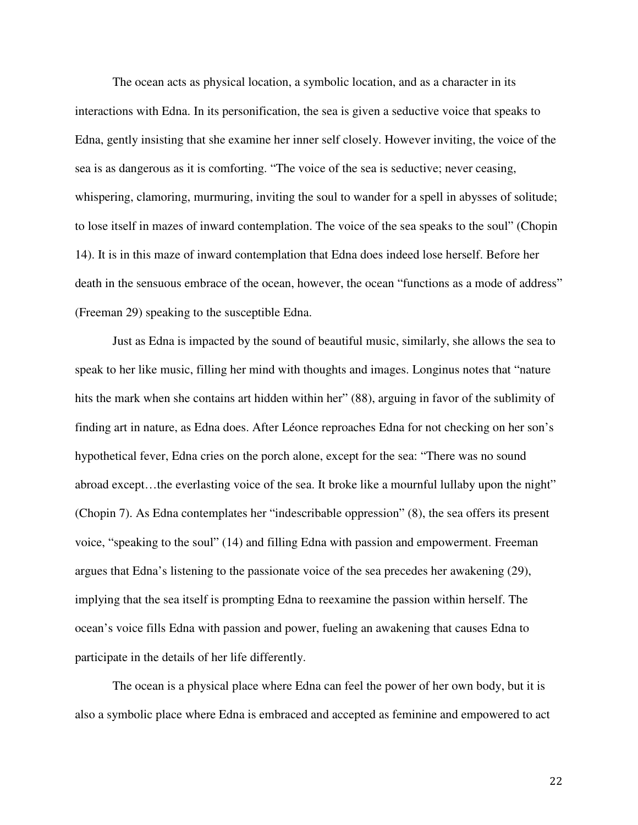The ocean acts as physical location, a symbolic location, and as a character in its interactions with Edna. In its personification, the sea is given a seductive voice that speaks to Edna, gently insisting that she examine her inner self closely. However inviting, the voice of the sea is as dangerous as it is comforting. "The voice of the sea is seductive; never ceasing, whispering, clamoring, murmuring, inviting the soul to wander for a spell in abysses of solitude; to lose itself in mazes of inward contemplation. The voice of the sea speaks to the soul" (Chopin 14). It is in this maze of inward contemplation that Edna does indeed lose herself. Before her death in the sensuous embrace of the ocean, however, the ocean "functions as a mode of address" (Freeman 29) speaking to the susceptible Edna.

Just as Edna is impacted by the sound of beautiful music, similarly, she allows the sea to speak to her like music, filling her mind with thoughts and images. Longinus notes that "nature hits the mark when she contains art hidden within her" (88), arguing in favor of the sublimity of finding art in nature, as Edna does. After Léonce reproaches Edna for not checking on her son's hypothetical fever, Edna cries on the porch alone, except for the sea: "There was no sound abroad except...the everlasting voice of the sea. It broke like a mournful lullaby upon the night" (Chopin 7). As Edna contemplates her "indescribable oppression" (8), the sea offers its present voice, "speaking to the soul" (14) and filling Edna with passion and empowerment. Freeman argues that Edna's listening to the passionate voice of the sea precedes her awakening (29), implying that the sea itself is prompting Edna to reexamine the passion within herself. The ocean's voice fills Edna with passion and power, fueling an awakening that causes Edna to participate in the details of her life differently.

The ocean is a physical place where Edna can feel the power of her own body, but it is also a symbolic place where Edna is embraced and accepted as feminine and empowered to act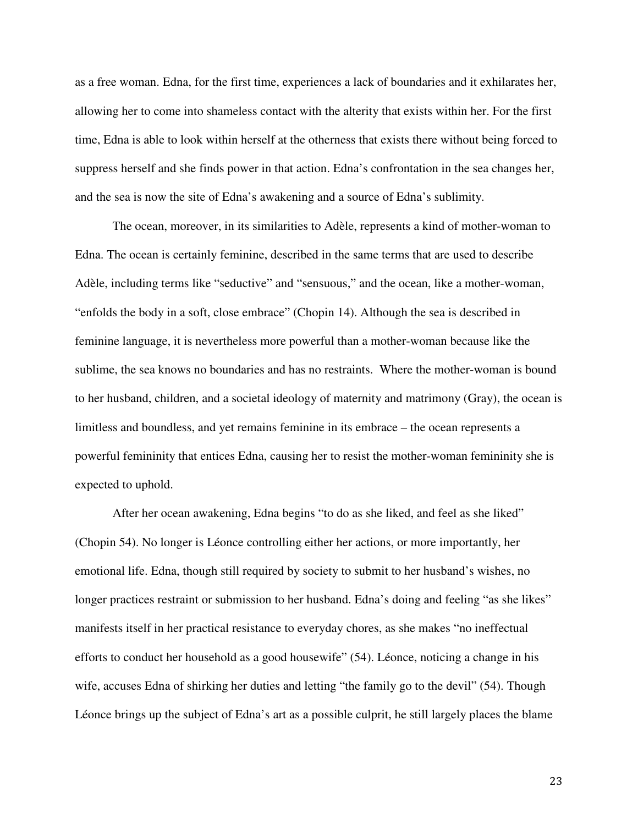as a free woman. Edna, for the first time, experiences a lack of boundaries and it exhilarates her, allowing her to come into shameless contact with the alterity that exists within her. For the first time, Edna is able to look within herself at the otherness that exists there without being forced to suppress herself and she finds power in that action. Edna's confrontation in the sea changes her, and the sea is now the site of Edna's awakening and a source of Edna's sublimity.

The ocean, moreover, in its similarities to Adèle, represents a kind of mother-woman to Edna. The ocean is certainly feminine, described in the same terms that are used to describe Adèle, including terms like "seductive" and "sensuous," and the ocean, like a mother-woman, "enfolds the body in a soft, close embrace" (Chopin 14). Although the sea is described in feminine language, it is nevertheless more powerful than a mother-woman because like the sublime, the sea knows no boundaries and has no restraints. Where the mother-woman is bound to her husband, children, and a societal ideology of maternity and matrimony (Gray), the ocean is limitless and boundless, and yet remains feminine in its embrace – the ocean represents a powerful femininity that entices Edna, causing her to resist the mother-woman femininity she is expected to uphold.

After her ocean awakening, Edna begins "to do as she liked, and feel as she liked" (Chopin 54). No longer is Léonce controlling either her actions, or more importantly, her emotional life. Edna, though still required by society to submit to her husband's wishes, no longer practices restraint or submission to her husband. Edna's doing and feeling "as she likes" manifests itself in her practical resistance to everyday chores, as she makes "no ineffectual efforts to conduct her household as a good housewife" (54). Léonce, noticing a change in his wife, accuses Edna of shirking her duties and letting "the family go to the devil" (54). Though Léonce brings up the subject of Edna's art as a possible culprit, he still largely places the blame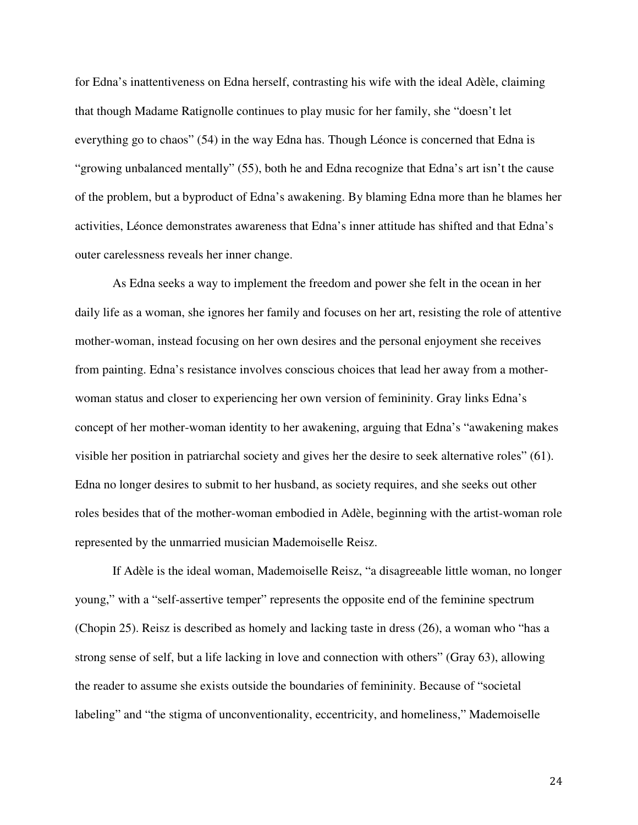for Edna's inattentiveness on Edna herself, contrasting his wife with the ideal Adèle, claiming that though Madame Ratignolle continues to play music for her family, she "doesn't let everything go to chaos" (54) in the way Edna has. Though Léonce is concerned that Edna is "growing unbalanced mentally" (55), both he and Edna recognize that Edna's art isn't the cause of the problem, but a byproduct of Edna's awakening. By blaming Edna more than he blames her activities, Léonce demonstrates awareness that Edna's inner attitude has shifted and that Edna's outer carelessness reveals her inner change.

As Edna seeks a way to implement the freedom and power she felt in the ocean in her daily life as a woman, she ignores her family and focuses on her art, resisting the role of attentive mother-woman, instead focusing on her own desires and the personal enjoyment she receives from painting. Edna's resistance involves conscious choices that lead her away from a motherwoman status and closer to experiencing her own version of femininity. Gray links Edna's concept of her mother-woman identity to her awakening, arguing that Edna's "awakening makes visible her position in patriarchal society and gives her the desire to seek alternative roles" (61). Edna no longer desires to submit to her husband, as society requires, and she seeks out other roles besides that of the mother-woman embodied in Adèle, beginning with the artist-woman role represented by the unmarried musician Mademoiselle Reisz.

If Adèle is the ideal woman, Mademoiselle Reisz, "a disagreeable little woman, no longer young," with a "self-assertive temper" represents the opposite end of the feminine spectrum (Chopin 25). Reisz is described as homely and lacking taste in dress (26), a woman who "has a strong sense of self, but a life lacking in love and connection with others" (Gray 63), allowing the reader to assume she exists outside the boundaries of femininity. Because of "societal labeling" and "the stigma of unconventionality, eccentricity, and homeliness," Mademoiselle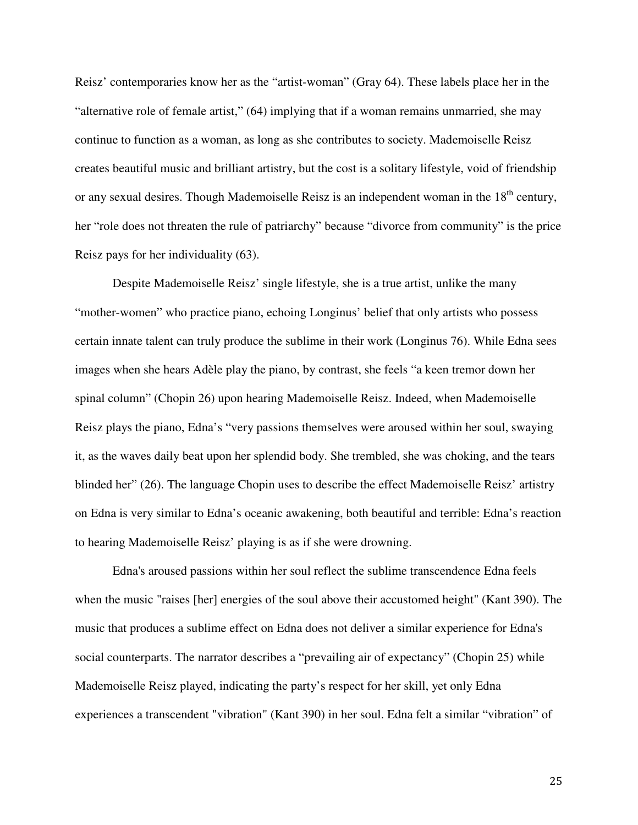Reisz' contemporaries know her as the "artist-woman" (Gray 64). These labels place her in the "alternative role of female artist," (64) implying that if a woman remains unmarried, she may continue to function as a woman, as long as she contributes to society. Mademoiselle Reisz creates beautiful music and brilliant artistry, but the cost is a solitary lifestyle, void of friendship or any sexual desires. Though Mademoiselle Reisz is an independent woman in the 18<sup>th</sup> century, her "role does not threaten the rule of patriarchy" because "divorce from community" is the price Reisz pays for her individuality (63).

Despite Mademoiselle Reisz' single lifestyle, she is a true artist, unlike the many "mother-women" who practice piano, echoing Longinus' belief that only artists who possess certain innate talent can truly produce the sublime in their work (Longinus 76). While Edna sees images when she hears Adèle play the piano, by contrast, she feels "a keen tremor down her spinal column" (Chopin 26) upon hearing Mademoiselle Reisz. Indeed, when Mademoiselle Reisz plays the piano, Edna's "very passions themselves were aroused within her soul, swaying it, as the waves daily beat upon her splendid body. She trembled, she was choking, and the tears blinded her" (26). The language Chopin uses to describe the effect Mademoiselle Reisz' artistry on Edna is very similar to Edna's oceanic awakening, both beautiful and terrible: Edna's reaction to hearing Mademoiselle Reisz' playing is as if she were drowning.

Edna's aroused passions within her soul reflect the sublime transcendence Edna feels when the music "raises [her] energies of the soul above their accustomed height" (Kant 390). The music that produces a sublime effect on Edna does not deliver a similar experience for Edna's social counterparts. The narrator describes a "prevailing air of expectancy" (Chopin 25) while Mademoiselle Reisz played, indicating the party's respect for her skill, yet only Edna experiences a transcendent "vibration" (Kant 390) in her soul. Edna felt a similar "vibration" of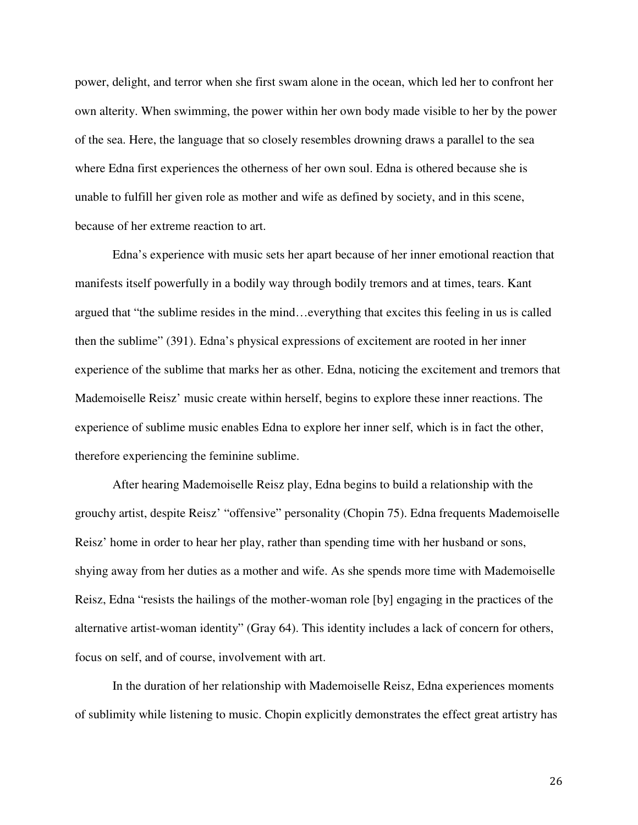power, delight, and terror when she first swam alone in the ocean, which led her to confront her own alterity. When swimming, the power within her own body made visible to her by the power of the sea. Here, the language that so closely resembles drowning draws a parallel to the sea where Edna first experiences the otherness of her own soul. Edna is othered because she is unable to fulfill her given role as mother and wife as defined by society, and in this scene, because of her extreme reaction to art.

Edna's experience with music sets her apart because of her inner emotional reaction that manifests itself powerfully in a bodily way through bodily tremors and at times, tears. Kant argued that "the sublime resides in the mind…everything that excites this feeling in us is called then the sublime" (391). Edna's physical expressions of excitement are rooted in her inner experience of the sublime that marks her as other. Edna, noticing the excitement and tremors that Mademoiselle Reisz' music create within herself, begins to explore these inner reactions. The experience of sublime music enables Edna to explore her inner self, which is in fact the other, therefore experiencing the feminine sublime.

After hearing Mademoiselle Reisz play, Edna begins to build a relationship with the grouchy artist, despite Reisz' "offensive" personality (Chopin 75). Edna frequents Mademoiselle Reisz' home in order to hear her play, rather than spending time with her husband or sons, shying away from her duties as a mother and wife. As she spends more time with Mademoiselle Reisz, Edna "resists the hailings of the mother-woman role [by] engaging in the practices of the alternative artist-woman identity" (Gray 64). This identity includes a lack of concern for others, focus on self, and of course, involvement with art.

In the duration of her relationship with Mademoiselle Reisz, Edna experiences moments of sublimity while listening to music. Chopin explicitly demonstrates the effect great artistry has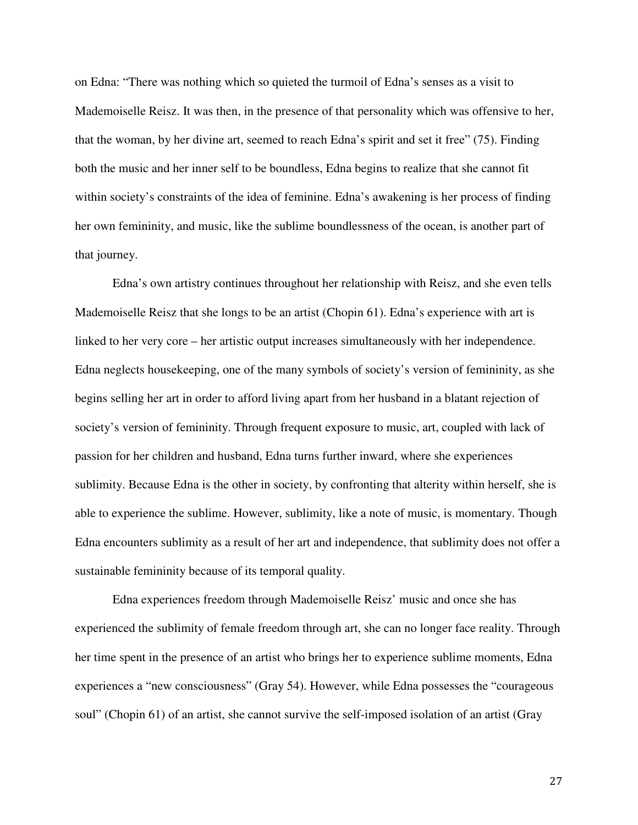on Edna: "There was nothing which so quieted the turmoil of Edna's senses as a visit to Mademoiselle Reisz. It was then, in the presence of that personality which was offensive to her, that the woman, by her divine art, seemed to reach Edna's spirit and set it free" (75). Finding both the music and her inner self to be boundless, Edna begins to realize that she cannot fit within society's constraints of the idea of feminine. Edna's awakening is her process of finding her own femininity, and music, like the sublime boundlessness of the ocean, is another part of that journey.

Edna's own artistry continues throughout her relationship with Reisz, and she even tells Mademoiselle Reisz that she longs to be an artist (Chopin 61). Edna's experience with art is linked to her very core – her artistic output increases simultaneously with her independence. Edna neglects housekeeping, one of the many symbols of society's version of femininity, as she begins selling her art in order to afford living apart from her husband in a blatant rejection of society's version of femininity. Through frequent exposure to music, art, coupled with lack of passion for her children and husband, Edna turns further inward, where she experiences sublimity. Because Edna is the other in society, by confronting that alterity within herself, she is able to experience the sublime. However, sublimity, like a note of music, is momentary. Though Edna encounters sublimity as a result of her art and independence, that sublimity does not offer a sustainable femininity because of its temporal quality.

Edna experiences freedom through Mademoiselle Reisz' music and once she has experienced the sublimity of female freedom through art, she can no longer face reality. Through her time spent in the presence of an artist who brings her to experience sublime moments, Edna experiences a "new consciousness" (Gray 54). However, while Edna possesses the "courageous soul" (Chopin 61) of an artist, she cannot survive the self-imposed isolation of an artist (Gray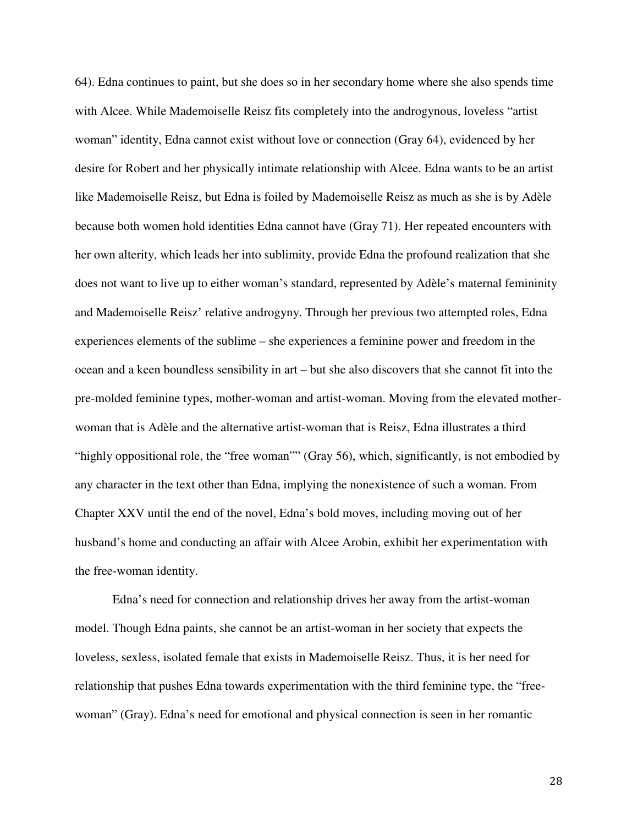64). Edna continues to paint, but she does so in her secondary home where she also spends time with Alcee. While Mademoiselle Reisz fits completely into the androgynous, loveless "artist woman" identity, Edna cannot exist without love or connection (Gray 64), evidenced by her desire for Robert and her physically intimate relationship with Alcee. Edna wants to be an artist like Mademoiselle Reisz, but Edna is foiled by Mademoiselle Reisz as much as she is by Adèle because both women hold identities Edna cannot have (Gray 71). Her repeated encounters with her own alterity, which leads her into sublimity, provide Edna the profound realization that she does not want to live up to either woman's standard, represented by Adèle's maternal femininity and Mademoiselle Reisz' relative androgyny. Through her previous two attempted roles, Edna experiences elements of the sublime – she experiences a feminine power and freedom in the ocean and a keen boundless sensibility in art – but she also discovers that she cannot fit into the pre-molded feminine types, mother-woman and artist-woman. Moving from the elevated motherwoman that is Adèle and the alternative artist-woman that is Reisz, Edna illustrates a third "highly oppositional role, the "free woman"" (Gray 56), which, significantly, is not embodied by any character in the text other than Edna, implying the nonexistence of such a woman. From Chapter XXV until the end of the novel, Edna's bold moves, including moving out of her husband's home and conducting an affair with Alcee Arobin, exhibit her experimentation with the free-woman identity.

Edna's need for connection and relationship drives her away from the artist-woman model. Though Edna paints, she cannot be an artist-woman in her society that expects the loveless, sexless, isolated female that exists in Mademoiselle Reisz. Thus, it is her need for relationship that pushes Edna towards experimentation with the third feminine type, the "freewoman" (Gray). Edna's need for emotional and physical connection is seen in her romantic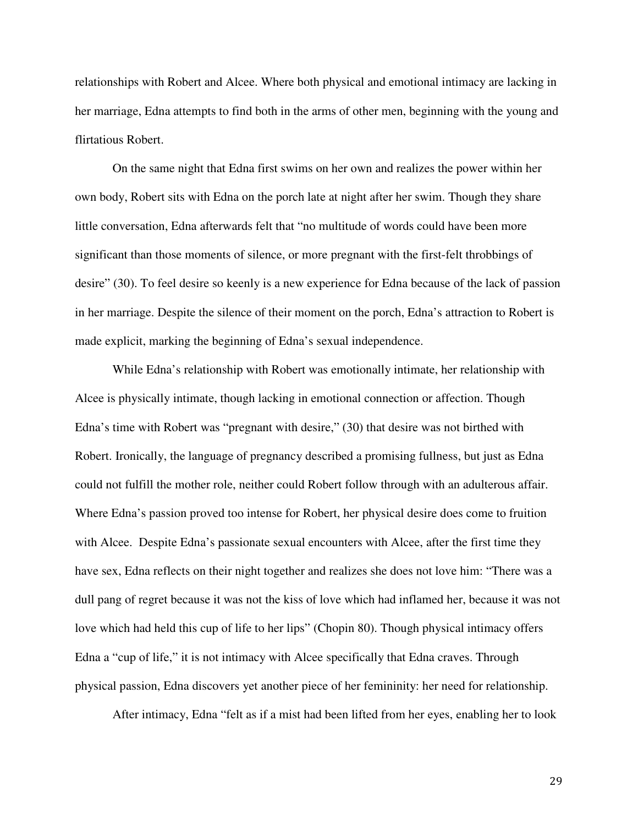relationships with Robert and Alcee. Where both physical and emotional intimacy are lacking in her marriage, Edna attempts to find both in the arms of other men, beginning with the young and flirtatious Robert.

On the same night that Edna first swims on her own and realizes the power within her own body, Robert sits with Edna on the porch late at night after her swim. Though they share little conversation, Edna afterwards felt that "no multitude of words could have been more significant than those moments of silence, or more pregnant with the first-felt throbbings of desire" (30). To feel desire so keenly is a new experience for Edna because of the lack of passion in her marriage. Despite the silence of their moment on the porch, Edna's attraction to Robert is made explicit, marking the beginning of Edna's sexual independence.

While Edna's relationship with Robert was emotionally intimate, her relationship with Alcee is physically intimate, though lacking in emotional connection or affection. Though Edna's time with Robert was "pregnant with desire," (30) that desire was not birthed with Robert. Ironically, the language of pregnancy described a promising fullness, but just as Edna could not fulfill the mother role, neither could Robert follow through with an adulterous affair. Where Edna's passion proved too intense for Robert, her physical desire does come to fruition with Alcee. Despite Edna's passionate sexual encounters with Alcee, after the first time they have sex, Edna reflects on their night together and realizes she does not love him: "There was a dull pang of regret because it was not the kiss of love which had inflamed her, because it was not love which had held this cup of life to her lips" (Chopin 80). Though physical intimacy offers Edna a "cup of life," it is not intimacy with Alcee specifically that Edna craves. Through physical passion, Edna discovers yet another piece of her femininity: her need for relationship.

After intimacy, Edna "felt as if a mist had been lifted from her eyes, enabling her to look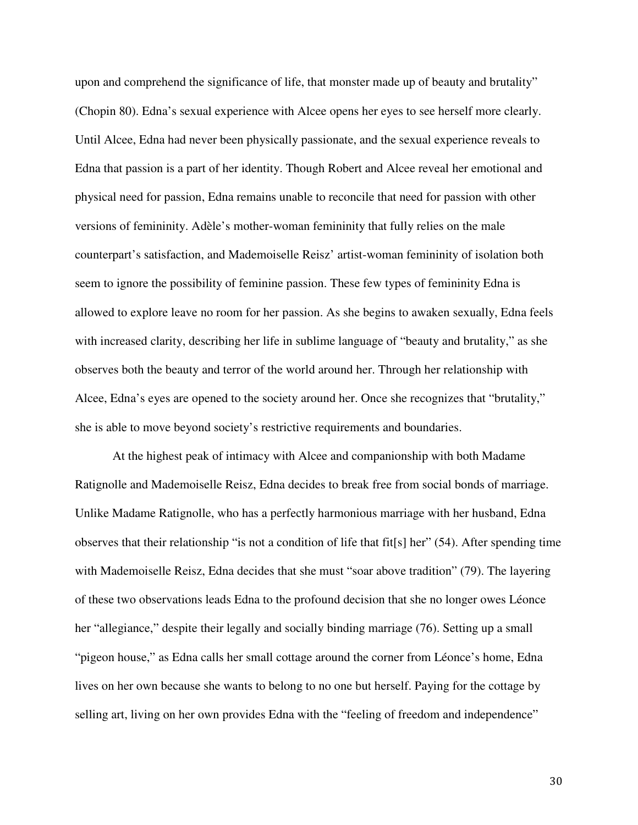upon and comprehend the significance of life, that monster made up of beauty and brutality" (Chopin 80). Edna's sexual experience with Alcee opens her eyes to see herself more clearly. Until Alcee, Edna had never been physically passionate, and the sexual experience reveals to Edna that passion is a part of her identity. Though Robert and Alcee reveal her emotional and physical need for passion, Edna remains unable to reconcile that need for passion with other versions of femininity. Adèle's mother-woman femininity that fully relies on the male counterpart's satisfaction, and Mademoiselle Reisz' artist-woman femininity of isolation both seem to ignore the possibility of feminine passion. These few types of femininity Edna is allowed to explore leave no room for her passion. As she begins to awaken sexually, Edna feels with increased clarity, describing her life in sublime language of "beauty and brutality," as she observes both the beauty and terror of the world around her. Through her relationship with Alcee, Edna's eyes are opened to the society around her. Once she recognizes that "brutality," she is able to move beyond society's restrictive requirements and boundaries.

At the highest peak of intimacy with Alcee and companionship with both Madame Ratignolle and Mademoiselle Reisz, Edna decides to break free from social bonds of marriage. Unlike Madame Ratignolle, who has a perfectly harmonious marriage with her husband, Edna observes that their relationship "is not a condition of life that fit[s] her" (54). After spending time with Mademoiselle Reisz, Edna decides that she must "soar above tradition" (79). The layering of these two observations leads Edna to the profound decision that she no longer owes Léonce her "allegiance," despite their legally and socially binding marriage (76). Setting up a small "pigeon house," as Edna calls her small cottage around the corner from Léonce's home, Edna lives on her own because she wants to belong to no one but herself. Paying for the cottage by selling art, living on her own provides Edna with the "feeling of freedom and independence"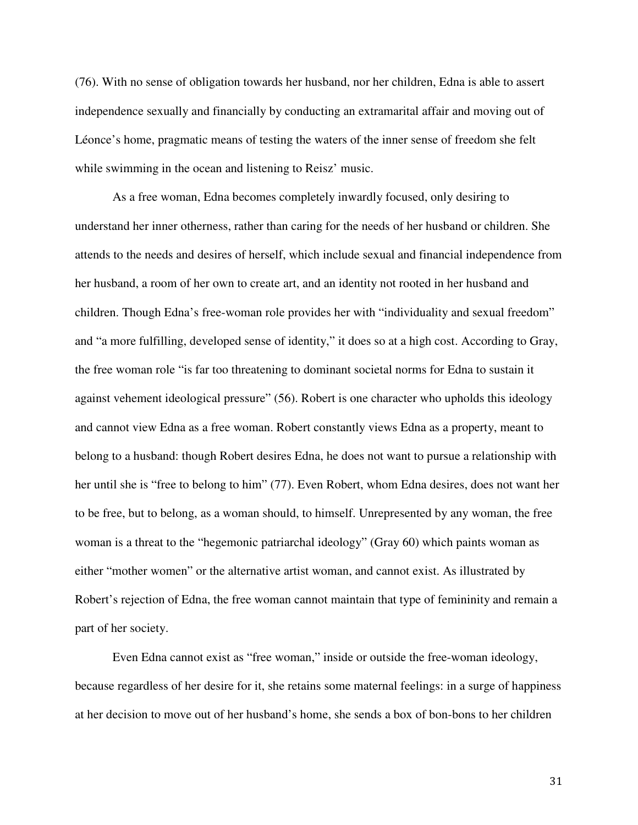(76). With no sense of obligation towards her husband, nor her children, Edna is able to assert independence sexually and financially by conducting an extramarital affair and moving out of Léonce's home, pragmatic means of testing the waters of the inner sense of freedom she felt while swimming in the ocean and listening to Reisz' music.

As a free woman, Edna becomes completely inwardly focused, only desiring to understand her inner otherness, rather than caring for the needs of her husband or children. She attends to the needs and desires of herself, which include sexual and financial independence from her husband, a room of her own to create art, and an identity not rooted in her husband and children. Though Edna's free-woman role provides her with "individuality and sexual freedom" and "a more fulfilling, developed sense of identity," it does so at a high cost. According to Gray, the free woman role "is far too threatening to dominant societal norms for Edna to sustain it against vehement ideological pressure" (56). Robert is one character who upholds this ideology and cannot view Edna as a free woman. Robert constantly views Edna as a property, meant to belong to a husband: though Robert desires Edna, he does not want to pursue a relationship with her until she is "free to belong to him" (77). Even Robert, whom Edna desires, does not want her to be free, but to belong, as a woman should, to himself. Unrepresented by any woman, the free woman is a threat to the "hegemonic patriarchal ideology" (Gray 60) which paints woman as either "mother women" or the alternative artist woman, and cannot exist. As illustrated by Robert's rejection of Edna, the free woman cannot maintain that type of femininity and remain a part of her society.

Even Edna cannot exist as "free woman," inside or outside the free-woman ideology, because regardless of her desire for it, she retains some maternal feelings: in a surge of happiness at her decision to move out of her husband's home, she sends a box of bon-bons to her children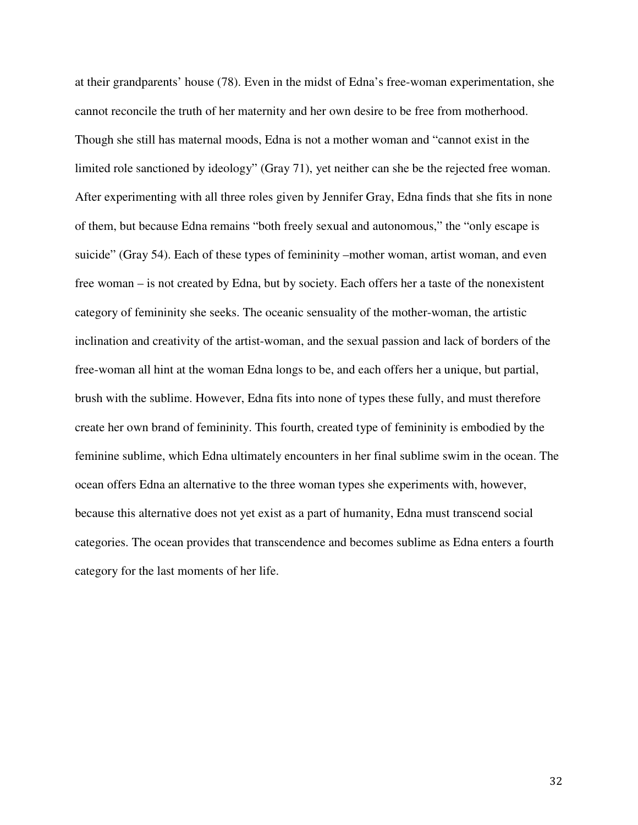at their grandparents' house (78). Even in the midst of Edna's free-woman experimentation, she cannot reconcile the truth of her maternity and her own desire to be free from motherhood. Though she still has maternal moods, Edna is not a mother woman and "cannot exist in the limited role sanctioned by ideology" (Gray 71), yet neither can she be the rejected free woman. After experimenting with all three roles given by Jennifer Gray, Edna finds that she fits in none of them, but because Edna remains "both freely sexual and autonomous," the "only escape is suicide" (Gray 54). Each of these types of femininity –mother woman, artist woman, and even free woman – is not created by Edna, but by society. Each offers her a taste of the nonexistent category of femininity she seeks. The oceanic sensuality of the mother-woman, the artistic inclination and creativity of the artist-woman, and the sexual passion and lack of borders of the free-woman all hint at the woman Edna longs to be, and each offers her a unique, but partial, brush with the sublime. However, Edna fits into none of types these fully, and must therefore create her own brand of femininity. This fourth, created type of femininity is embodied by the feminine sublime, which Edna ultimately encounters in her final sublime swim in the ocean. The ocean offers Edna an alternative to the three woman types she experiments with, however, because this alternative does not yet exist as a part of humanity, Edna must transcend social categories. The ocean provides that transcendence and becomes sublime as Edna enters a fourth category for the last moments of her life.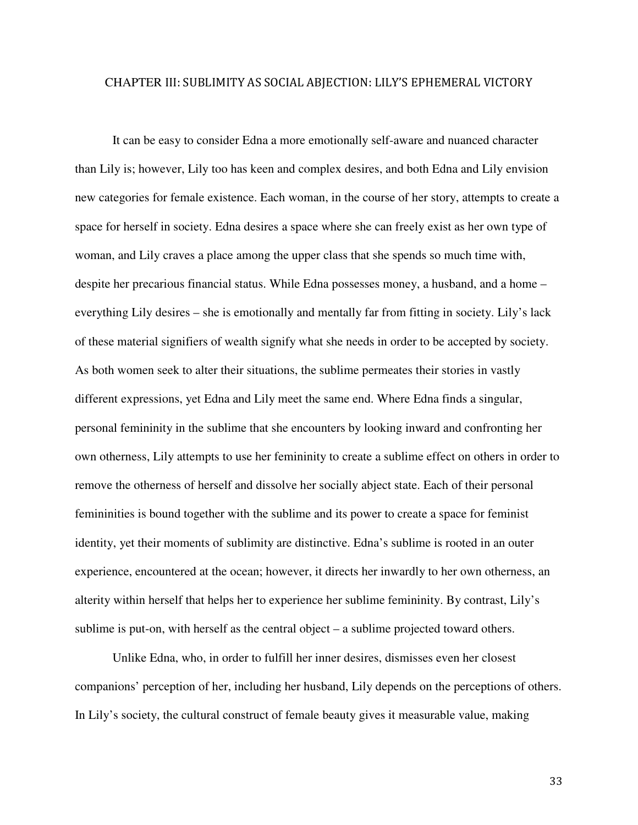## CHAPTER III: SUBLIMITY AS SOCIAL ABJECTION: LILY'S EPHEMERAL VICTORY

It can be easy to consider Edna a more emotionally self-aware and nuanced character than Lily is; however, Lily too has keen and complex desires, and both Edna and Lily envision new categories for female existence. Each woman, in the course of her story, attempts to create a space for herself in society. Edna desires a space where she can freely exist as her own type of woman, and Lily craves a place among the upper class that she spends so much time with, despite her precarious financial status. While Edna possesses money, a husband, and a home – everything Lily desires – she is emotionally and mentally far from fitting in society. Lily's lack of these material signifiers of wealth signify what she needs in order to be accepted by society. As both women seek to alter their situations, the sublime permeates their stories in vastly different expressions, yet Edna and Lily meet the same end. Where Edna finds a singular, personal femininity in the sublime that she encounters by looking inward and confronting her own otherness, Lily attempts to use her femininity to create a sublime effect on others in order to remove the otherness of herself and dissolve her socially abject state. Each of their personal femininities is bound together with the sublime and its power to create a space for feminist identity, yet their moments of sublimity are distinctive. Edna's sublime is rooted in an outer experience, encountered at the ocean; however, it directs her inwardly to her own otherness, an alterity within herself that helps her to experience her sublime femininity. By contrast, Lily's sublime is put-on, with herself as the central object – a sublime projected toward others.

Unlike Edna, who, in order to fulfill her inner desires, dismisses even her closest companions' perception of her, including her husband, Lily depends on the perceptions of others. In Lily's society, the cultural construct of female beauty gives it measurable value, making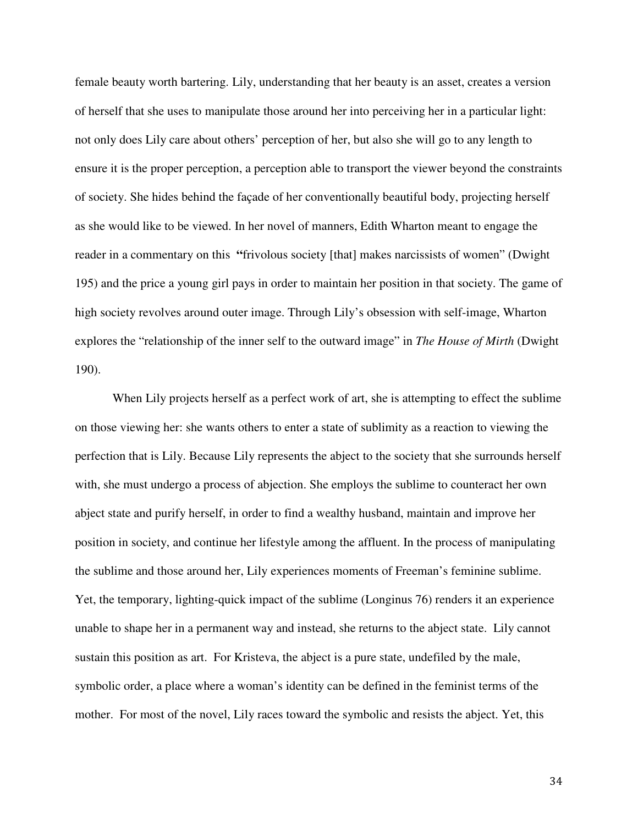female beauty worth bartering. Lily, understanding that her beauty is an asset, creates a version of herself that she uses to manipulate those around her into perceiving her in a particular light: not only does Lily care about others' perception of her, but also she will go to any length to ensure it is the proper perception, a perception able to transport the viewer beyond the constraints of society. She hides behind the façade of her conventionally beautiful body, projecting herself as she would like to be viewed. In her novel of manners, Edith Wharton meant to engage the reader in a commentary on this **"**frivolous society [that] makes narcissists of women" (Dwight 195) and the price a young girl pays in order to maintain her position in that society. The game of high society revolves around outer image. Through Lily's obsession with self-image, Wharton explores the "relationship of the inner self to the outward image" in *The House of Mirth* (Dwight 190).

When Lily projects herself as a perfect work of art, she is attempting to effect the sublime on those viewing her: she wants others to enter a state of sublimity as a reaction to viewing the perfection that is Lily. Because Lily represents the abject to the society that she surrounds herself with, she must undergo a process of abjection. She employs the sublime to counteract her own abject state and purify herself, in order to find a wealthy husband, maintain and improve her position in society, and continue her lifestyle among the affluent. In the process of manipulating the sublime and those around her, Lily experiences moments of Freeman's feminine sublime. Yet, the temporary, lighting-quick impact of the sublime (Longinus 76) renders it an experience unable to shape her in a permanent way and instead, she returns to the abject state. Lily cannot sustain this position as art. For Kristeva, the abject is a pure state, undefiled by the male, symbolic order, a place where a woman's identity can be defined in the feminist terms of the mother. For most of the novel, Lily races toward the symbolic and resists the abject. Yet, this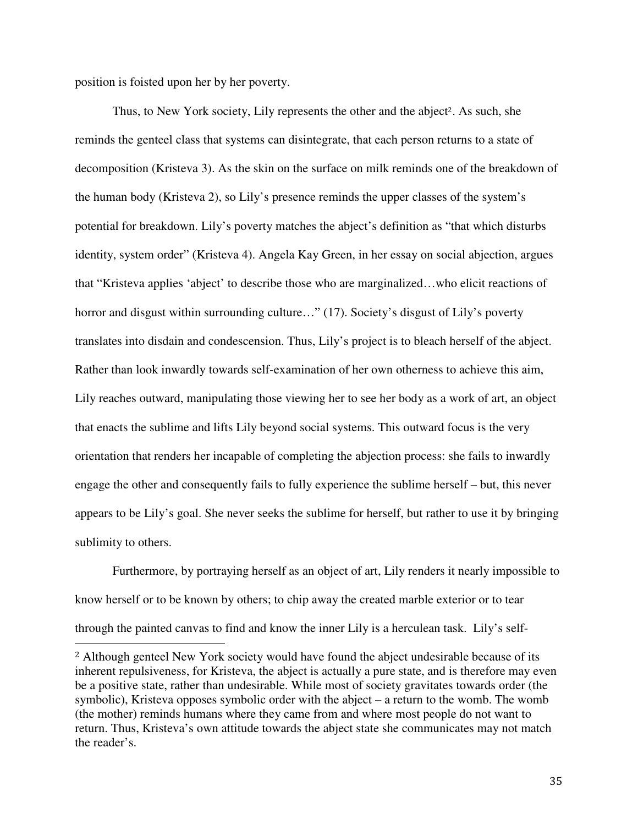position is foisted upon her by her poverty.

 $\overline{a}$ 

Thus, to New York society, Lily represents the other and the abject<sup>2</sup>. As such, she reminds the genteel class that systems can disintegrate, that each person returns to a state of decomposition (Kristeva 3). As the skin on the surface on milk reminds one of the breakdown of the human body (Kristeva 2), so Lily's presence reminds the upper classes of the system's potential for breakdown. Lily's poverty matches the abject's definition as "that which disturbs identity, system order" (Kristeva 4). Angela Kay Green, in her essay on social abjection, argues that "Kristeva applies 'abject' to describe those who are marginalized…who elicit reactions of horror and disgust within surrounding culture..." (17). Society's disgust of Lily's poverty translates into disdain and condescension. Thus, Lily's project is to bleach herself of the abject. Rather than look inwardly towards self-examination of her own otherness to achieve this aim, Lily reaches outward, manipulating those viewing her to see her body as a work of art, an object that enacts the sublime and lifts Lily beyond social systems. This outward focus is the very orientation that renders her incapable of completing the abjection process: she fails to inwardly engage the other and consequently fails to fully experience the sublime herself – but, this never appears to be Lily's goal. She never seeks the sublime for herself, but rather to use it by bringing sublimity to others.

Furthermore, by portraying herself as an object of art, Lily renders it nearly impossible to know herself or to be known by others; to chip away the created marble exterior or to tear through the painted canvas to find and know the inner Lily is a herculean task. Lily's self-

<sup>&</sup>lt;sup>2</sup> Although genteel New York society would have found the abject undesirable because of its inherent repulsiveness, for Kristeva, the abject is actually a pure state, and is therefore may even be a positive state, rather than undesirable. While most of society gravitates towards order (the symbolic), Kristeva opposes symbolic order with the abject – a return to the womb. The womb (the mother) reminds humans where they came from and where most people do not want to return. Thus, Kristeva's own attitude towards the abject state she communicates may not match the reader's.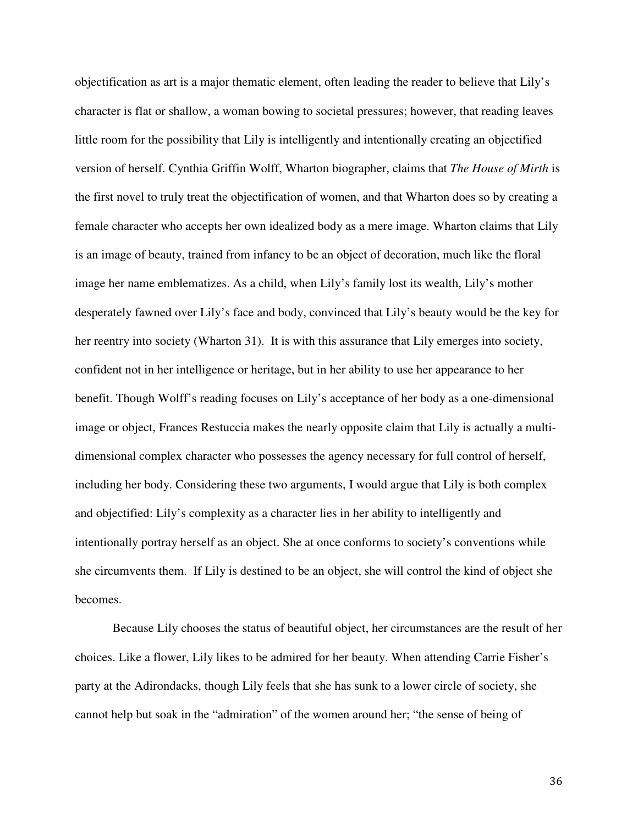objectification as art is a major thematic element, often leading the reader to believe that Lily's character is flat or shallow, a woman bowing to societal pressures; however, that reading leaves little room for the possibility that Lily is intelligently and intentionally creating an objectified version of herself. Cynthia Griffin Wolff, Wharton biographer, claims that *The House of Mirth* is the first novel to truly treat the objectification of women, and that Wharton does so by creating a female character who accepts her own idealized body as a mere image. Wharton claims that Lily is an image of beauty, trained from infancy to be an object of decoration, much like the floral image her name emblematizes. As a child, when Lily's family lost its wealth, Lily's mother desperately fawned over Lily's face and body, convinced that Lily's beauty would be the key for her reentry into society (Wharton 31). It is with this assurance that Lily emerges into society, confident not in her intelligence or heritage, but in her ability to use her appearance to her benefit. Though Wolff's reading focuses on Lily's acceptance of her body as a one-dimensional image or object, Frances Restuccia makes the nearly opposite claim that Lily is actually a multidimensional complex character who possesses the agency necessary for full control of herself, including her body. Considering these two arguments, I would argue that Lily is both complex and objectified: Lily's complexity as a character lies in her ability to intelligently and intentionally portray herself as an object. She at once conforms to society's conventions while she circumvents them. If Lily is destined to be an object, she will control the kind of object she becomes.

Because Lily chooses the status of beautiful object, her circumstances are the result of her choices. Like a flower, Lily likes to be admired for her beauty. When attending Carrie Fisher's party at the Adirondacks, though Lily feels that she has sunk to a lower circle of society, she cannot help but soak in the "admiration" of the women around her; "the sense of being of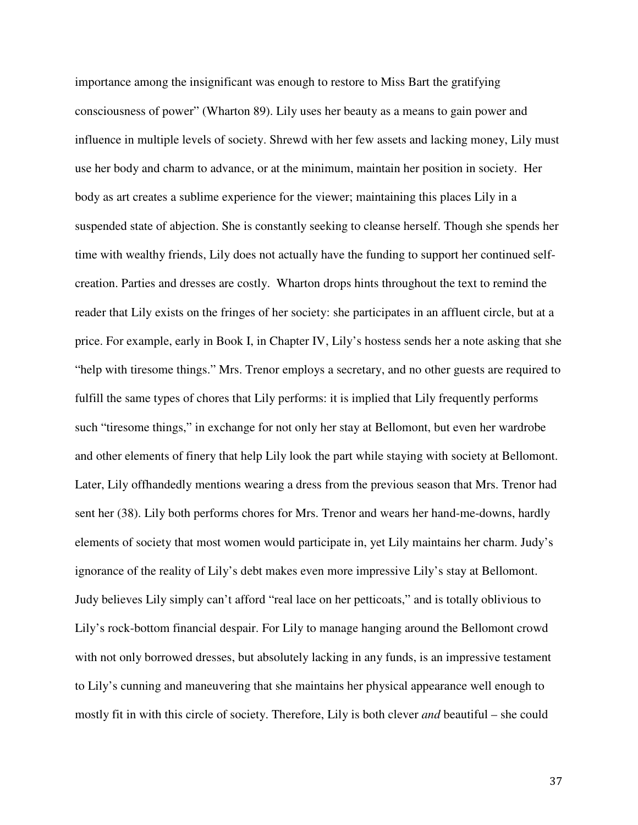importance among the insignificant was enough to restore to Miss Bart the gratifying consciousness of power" (Wharton 89). Lily uses her beauty as a means to gain power and influence in multiple levels of society. Shrewd with her few assets and lacking money, Lily must use her body and charm to advance, or at the minimum, maintain her position in society. Her body as art creates a sublime experience for the viewer; maintaining this places Lily in a suspended state of abjection. She is constantly seeking to cleanse herself. Though she spends her time with wealthy friends, Lily does not actually have the funding to support her continued selfcreation. Parties and dresses are costly. Wharton drops hints throughout the text to remind the reader that Lily exists on the fringes of her society: she participates in an affluent circle, but at a price. For example, early in Book I, in Chapter IV, Lily's hostess sends her a note asking that she "help with tiresome things." Mrs. Trenor employs a secretary, and no other guests are required to fulfill the same types of chores that Lily performs: it is implied that Lily frequently performs such "tiresome things," in exchange for not only her stay at Bellomont, but even her wardrobe and other elements of finery that help Lily look the part while staying with society at Bellomont. Later, Lily offhandedly mentions wearing a dress from the previous season that Mrs. Trenor had sent her (38). Lily both performs chores for Mrs. Trenor and wears her hand-me-downs, hardly elements of society that most women would participate in, yet Lily maintains her charm. Judy's ignorance of the reality of Lily's debt makes even more impressive Lily's stay at Bellomont. Judy believes Lily simply can't afford "real lace on her petticoats," and is totally oblivious to Lily's rock-bottom financial despair. For Lily to manage hanging around the Bellomont crowd with not only borrowed dresses, but absolutely lacking in any funds, is an impressive testament to Lily's cunning and maneuvering that she maintains her physical appearance well enough to mostly fit in with this circle of society. Therefore, Lily is both clever *and* beautiful – she could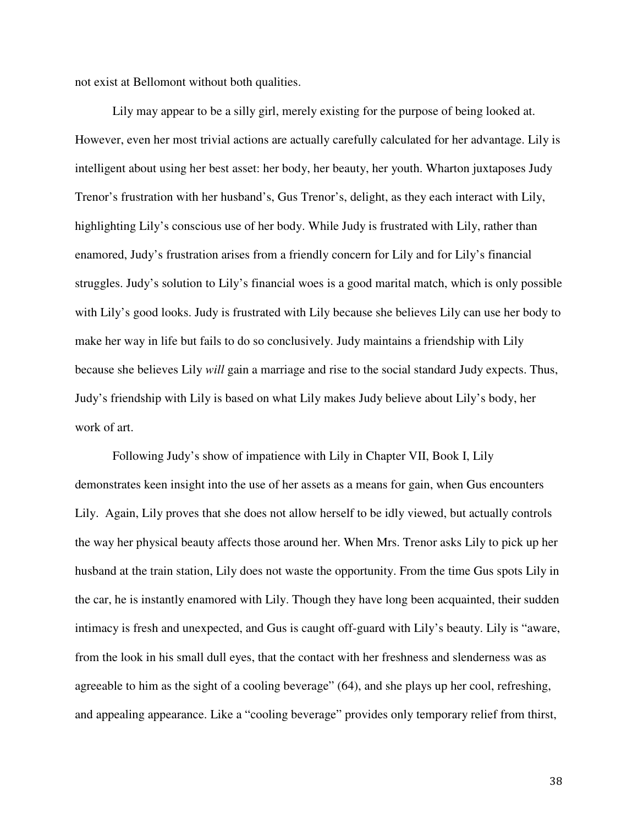not exist at Bellomont without both qualities.

Lily may appear to be a silly girl, merely existing for the purpose of being looked at. However, even her most trivial actions are actually carefully calculated for her advantage. Lily is intelligent about using her best asset: her body, her beauty, her youth. Wharton juxtaposes Judy Trenor's frustration with her husband's, Gus Trenor's, delight, as they each interact with Lily, highlighting Lily's conscious use of her body. While Judy is frustrated with Lily, rather than enamored, Judy's frustration arises from a friendly concern for Lily and for Lily's financial struggles. Judy's solution to Lily's financial woes is a good marital match, which is only possible with Lily's good looks. Judy is frustrated with Lily because she believes Lily can use her body to make her way in life but fails to do so conclusively. Judy maintains a friendship with Lily because she believes Lily *will* gain a marriage and rise to the social standard Judy expects. Thus, Judy's friendship with Lily is based on what Lily makes Judy believe about Lily's body, her work of art.

Following Judy's show of impatience with Lily in Chapter VII, Book I, Lily demonstrates keen insight into the use of her assets as a means for gain, when Gus encounters Lily. Again, Lily proves that she does not allow herself to be idly viewed, but actually controls the way her physical beauty affects those around her. When Mrs. Trenor asks Lily to pick up her husband at the train station, Lily does not waste the opportunity. From the time Gus spots Lily in the car, he is instantly enamored with Lily. Though they have long been acquainted, their sudden intimacy is fresh and unexpected, and Gus is caught off-guard with Lily's beauty. Lily is "aware, from the look in his small dull eyes, that the contact with her freshness and slenderness was as agreeable to him as the sight of a cooling beverage" (64), and she plays up her cool, refreshing, and appealing appearance. Like a "cooling beverage" provides only temporary relief from thirst,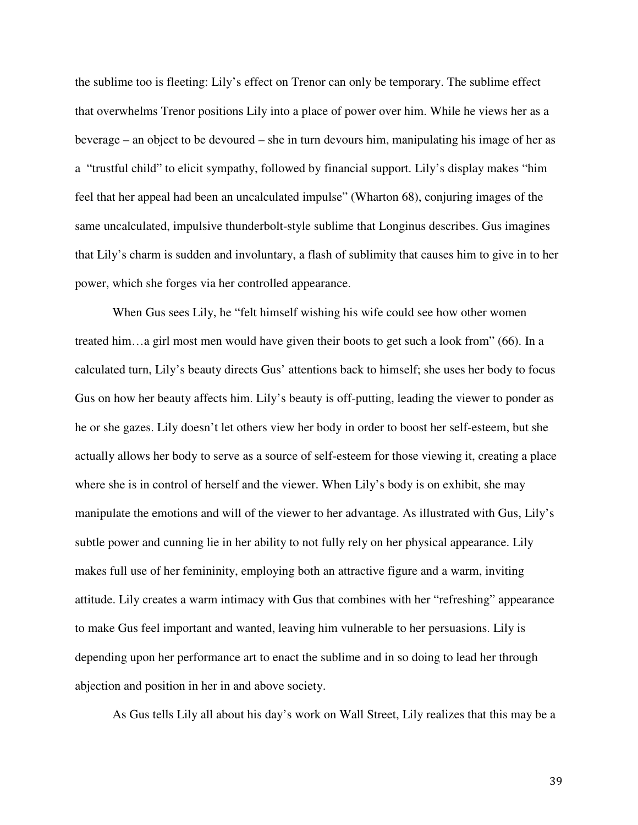the sublime too is fleeting: Lily's effect on Trenor can only be temporary. The sublime effect that overwhelms Trenor positions Lily into a place of power over him. While he views her as a beverage – an object to be devoured – she in turn devours him, manipulating his image of her as a "trustful child" to elicit sympathy, followed by financial support. Lily's display makes "him feel that her appeal had been an uncalculated impulse" (Wharton 68), conjuring images of the same uncalculated, impulsive thunderbolt-style sublime that Longinus describes. Gus imagines that Lily's charm is sudden and involuntary, a flash of sublimity that causes him to give in to her power, which she forges via her controlled appearance.

When Gus sees Lily, he "felt himself wishing his wife could see how other women treated him…a girl most men would have given their boots to get such a look from" (66). In a calculated turn, Lily's beauty directs Gus' attentions back to himself; she uses her body to focus Gus on how her beauty affects him. Lily's beauty is off-putting, leading the viewer to ponder as he or she gazes. Lily doesn't let others view her body in order to boost her self-esteem, but she actually allows her body to serve as a source of self-esteem for those viewing it, creating a place where she is in control of herself and the viewer. When Lily's body is on exhibit, she may manipulate the emotions and will of the viewer to her advantage. As illustrated with Gus, Lily's subtle power and cunning lie in her ability to not fully rely on her physical appearance. Lily makes full use of her femininity, employing both an attractive figure and a warm, inviting attitude. Lily creates a warm intimacy with Gus that combines with her "refreshing" appearance to make Gus feel important and wanted, leaving him vulnerable to her persuasions. Lily is depending upon her performance art to enact the sublime and in so doing to lead her through abjection and position in her in and above society.

As Gus tells Lily all about his day's work on Wall Street, Lily realizes that this may be a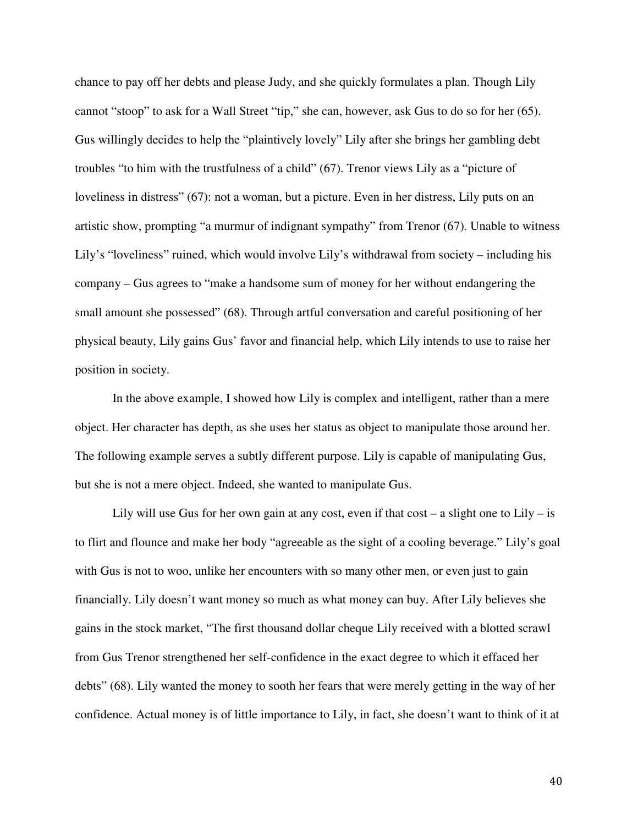chance to pay off her debts and please Judy, and she quickly formulates a plan. Though Lily cannot "stoop" to ask for a Wall Street "tip," she can, however, ask Gus to do so for her (65). Gus willingly decides to help the "plaintively lovely" Lily after she brings her gambling debt troubles "to him with the trustfulness of a child" (67). Trenor views Lily as a "picture of loveliness in distress" (67): not a woman, but a picture. Even in her distress, Lily puts on an artistic show, prompting "a murmur of indignant sympathy" from Trenor (67). Unable to witness Lily's "loveliness" ruined, which would involve Lily's withdrawal from society – including his company – Gus agrees to "make a handsome sum of money for her without endangering the small amount she possessed" (68). Through artful conversation and careful positioning of her physical beauty, Lily gains Gus' favor and financial help, which Lily intends to use to raise her position in society.

In the above example, I showed how Lily is complex and intelligent, rather than a mere object. Her character has depth, as she uses her status as object to manipulate those around her. The following example serves a subtly different purpose. Lily is capable of manipulating Gus, but she is not a mere object. Indeed, she wanted to manipulate Gus.

Lily will use Gus for her own gain at any cost, even if that  $cost - a$  slight one to Lily – is to flirt and flounce and make her body "agreeable as the sight of a cooling beverage." Lily's goal with Gus is not to woo, unlike her encounters with so many other men, or even just to gain financially. Lily doesn't want money so much as what money can buy. After Lily believes she gains in the stock market, "The first thousand dollar cheque Lily received with a blotted scrawl from Gus Trenor strengthened her self-confidence in the exact degree to which it effaced her debts" (68). Lily wanted the money to sooth her fears that were merely getting in the way of her confidence. Actual money is of little importance to Lily, in fact, she doesn't want to think of it at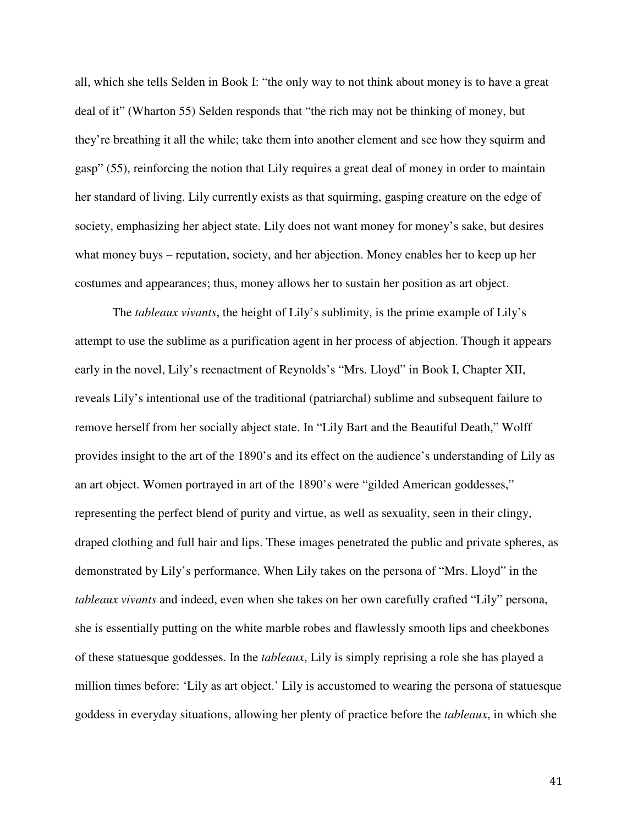all, which she tells Selden in Book I: "the only way to not think about money is to have a great deal of it" (Wharton 55) Selden responds that "the rich may not be thinking of money, but they're breathing it all the while; take them into another element and see how they squirm and gasp" (55), reinforcing the notion that Lily requires a great deal of money in order to maintain her standard of living. Lily currently exists as that squirming, gasping creature on the edge of society, emphasizing her abject state. Lily does not want money for money's sake, but desires what money buys – reputation, society, and her abjection. Money enables her to keep up her costumes and appearances; thus, money allows her to sustain her position as art object.

The *tableaux vivants*, the height of Lily's sublimity, is the prime example of Lily's attempt to use the sublime as a purification agent in her process of abjection. Though it appears early in the novel, Lily's reenactment of Reynolds's "Mrs. Lloyd" in Book I, Chapter XII, reveals Lily's intentional use of the traditional (patriarchal) sublime and subsequent failure to remove herself from her socially abject state. In "Lily Bart and the Beautiful Death," Wolff provides insight to the art of the 1890's and its effect on the audience's understanding of Lily as an art object. Women portrayed in art of the 1890's were "gilded American goddesses," representing the perfect blend of purity and virtue, as well as sexuality, seen in their clingy, draped clothing and full hair and lips. These images penetrated the public and private spheres, as demonstrated by Lily's performance. When Lily takes on the persona of "Mrs. Lloyd" in the *tableaux vivants* and indeed, even when she takes on her own carefully crafted "Lily" persona, she is essentially putting on the white marble robes and flawlessly smooth lips and cheekbones of these statuesque goddesses. In the *tableaux*, Lily is simply reprising a role she has played a million times before: 'Lily as art object.' Lily is accustomed to wearing the persona of statuesque goddess in everyday situations, allowing her plenty of practice before the *tableaux*, in which she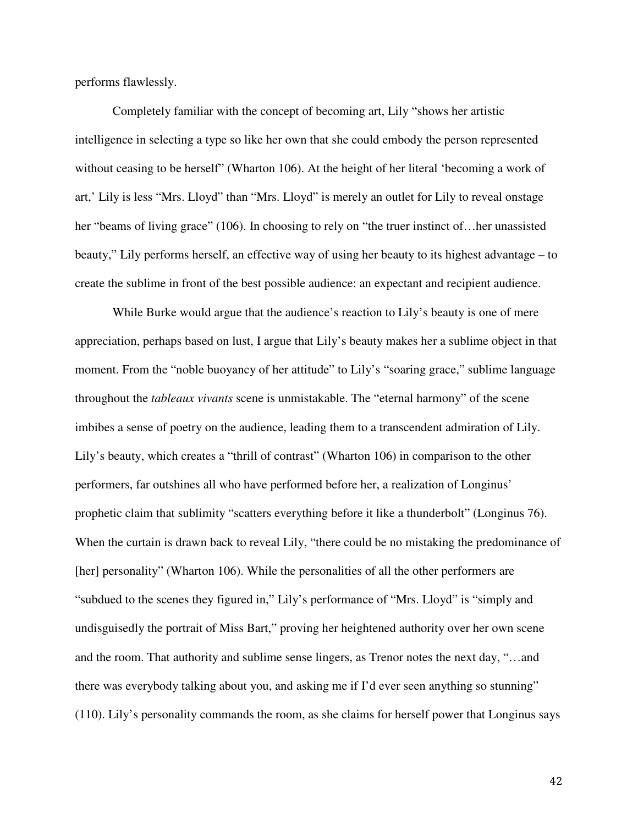performs flawlessly.

Completely familiar with the concept of becoming art, Lily "shows her artistic intelligence in selecting a type so like her own that she could embody the person represented without ceasing to be herself" (Wharton 106). At the height of her literal 'becoming a work of art,' Lily is less "Mrs. Lloyd" than "Mrs. Lloyd" is merely an outlet for Lily to reveal onstage her "beams of living grace" (106). In choosing to rely on "the truer instinct of... her unassisted beauty," Lily performs herself, an effective way of using her beauty to its highest advantage – to create the sublime in front of the best possible audience: an expectant and recipient audience.

While Burke would argue that the audience's reaction to Lily's beauty is one of mere appreciation, perhaps based on lust, I argue that Lily's beauty makes her a sublime object in that moment. From the "noble buoyancy of her attitude" to Lily's "soaring grace," sublime language throughout the *tableaux vivants* scene is unmistakable. The "eternal harmony" of the scene imbibes a sense of poetry on the audience, leading them to a transcendent admiration of Lily. Lily's beauty, which creates a "thrill of contrast" (Wharton 106) in comparison to the other performers, far outshines all who have performed before her, a realization of Longinus' prophetic claim that sublimity "scatters everything before it like a thunderbolt" (Longinus 76). When the curtain is drawn back to reveal Lily, "there could be no mistaking the predominance of [her] personality" (Wharton 106). While the personalities of all the other performers are "subdued to the scenes they figured in," Lily's performance of "Mrs. Lloyd" is "simply and undisguisedly the portrait of Miss Bart," proving her heightened authority over her own scene and the room. That authority and sublime sense lingers, as Trenor notes the next day, "…and there was everybody talking about you, and asking me if I'd ever seen anything so stunning" (110). Lily's personality commands the room, as she claims for herself power that Longinus says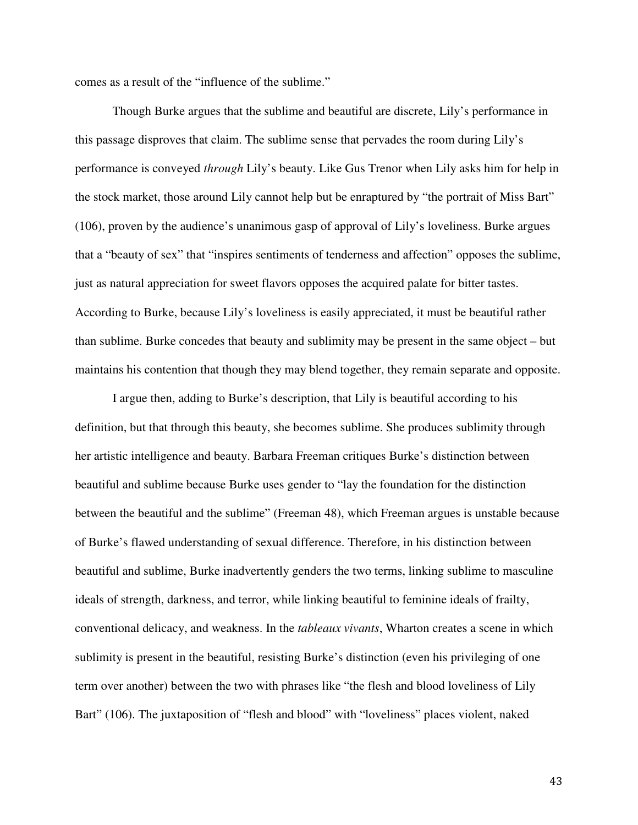comes as a result of the "influence of the sublime."

Though Burke argues that the sublime and beautiful are discrete, Lily's performance in this passage disproves that claim. The sublime sense that pervades the room during Lily's performance is conveyed *through* Lily's beauty. Like Gus Trenor when Lily asks him for help in the stock market, those around Lily cannot help but be enraptured by "the portrait of Miss Bart" (106), proven by the audience's unanimous gasp of approval of Lily's loveliness. Burke argues that a "beauty of sex" that "inspires sentiments of tenderness and affection" opposes the sublime, just as natural appreciation for sweet flavors opposes the acquired palate for bitter tastes. According to Burke, because Lily's loveliness is easily appreciated, it must be beautiful rather than sublime. Burke concedes that beauty and sublimity may be present in the same object – but maintains his contention that though they may blend together, they remain separate and opposite.

I argue then, adding to Burke's description, that Lily is beautiful according to his definition, but that through this beauty, she becomes sublime. She produces sublimity through her artistic intelligence and beauty. Barbara Freeman critiques Burke's distinction between beautiful and sublime because Burke uses gender to "lay the foundation for the distinction between the beautiful and the sublime" (Freeman 48), which Freeman argues is unstable because of Burke's flawed understanding of sexual difference. Therefore, in his distinction between beautiful and sublime, Burke inadvertently genders the two terms, linking sublime to masculine ideals of strength, darkness, and terror, while linking beautiful to feminine ideals of frailty, conventional delicacy, and weakness. In the *tableaux vivants*, Wharton creates a scene in which sublimity is present in the beautiful, resisting Burke's distinction (even his privileging of one term over another) between the two with phrases like "the flesh and blood loveliness of Lily Bart" (106). The juxtaposition of "flesh and blood" with "loveliness" places violent, naked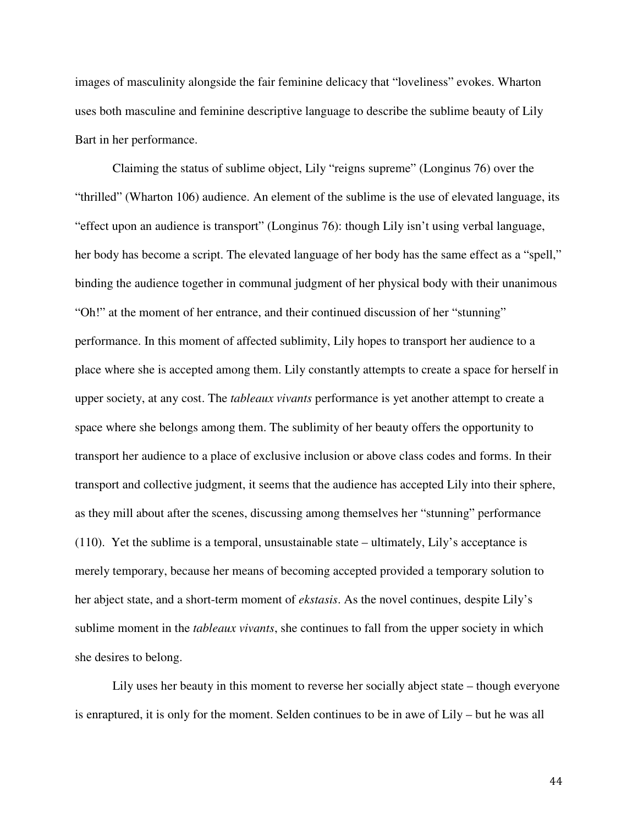images of masculinity alongside the fair feminine delicacy that "loveliness" evokes. Wharton uses both masculine and feminine descriptive language to describe the sublime beauty of Lily Bart in her performance.

Claiming the status of sublime object, Lily "reigns supreme" (Longinus 76) over the "thrilled" (Wharton 106) audience. An element of the sublime is the use of elevated language, its "effect upon an audience is transport" (Longinus 76): though Lily isn't using verbal language, her body has become a script. The elevated language of her body has the same effect as a "spell," binding the audience together in communal judgment of her physical body with their unanimous "Oh!" at the moment of her entrance, and their continued discussion of her "stunning" performance. In this moment of affected sublimity, Lily hopes to transport her audience to a place where she is accepted among them. Lily constantly attempts to create a space for herself in upper society, at any cost. The *tableaux vivants* performance is yet another attempt to create a space where she belongs among them. The sublimity of her beauty offers the opportunity to transport her audience to a place of exclusive inclusion or above class codes and forms. In their transport and collective judgment, it seems that the audience has accepted Lily into their sphere, as they mill about after the scenes, discussing among themselves her "stunning" performance (110). Yet the sublime is a temporal, unsustainable state – ultimately, Lily's acceptance is merely temporary, because her means of becoming accepted provided a temporary solution to her abject state, and a short-term moment of *ekstasis*. As the novel continues, despite Lily's sublime moment in the *tableaux vivants*, she continues to fall from the upper society in which she desires to belong.

Lily uses her beauty in this moment to reverse her socially abject state – though everyone is enraptured, it is only for the moment. Selden continues to be in awe of Lily – but he was all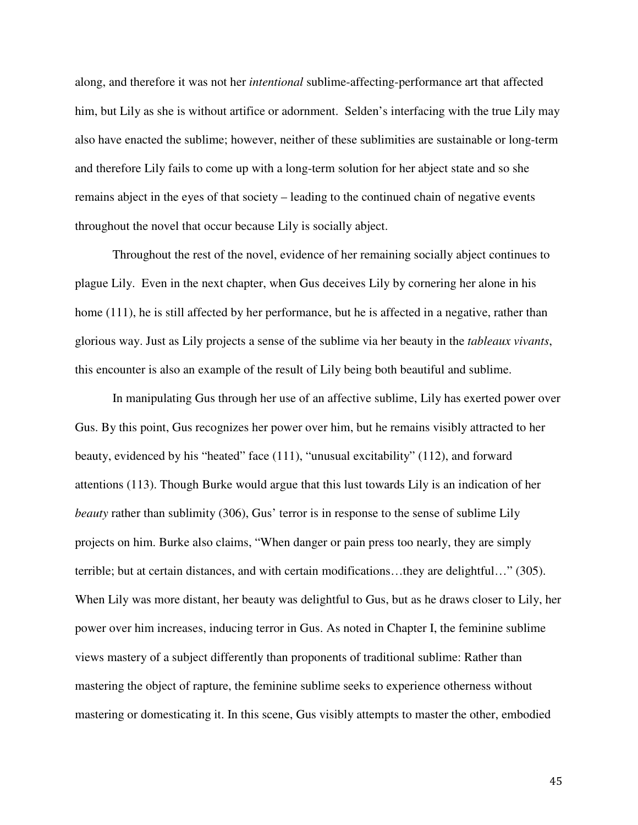along, and therefore it was not her *intentional* sublime-affecting-performance art that affected him, but Lily as she is without artifice or adornment. Selden's interfacing with the true Lily may also have enacted the sublime; however, neither of these sublimities are sustainable or long-term and therefore Lily fails to come up with a long-term solution for her abject state and so she remains abject in the eyes of that society – leading to the continued chain of negative events throughout the novel that occur because Lily is socially abject.

Throughout the rest of the novel, evidence of her remaining socially abject continues to plague Lily. Even in the next chapter, when Gus deceives Lily by cornering her alone in his home (111), he is still affected by her performance, but he is affected in a negative, rather than glorious way. Just as Lily projects a sense of the sublime via her beauty in the *tableaux vivants*, this encounter is also an example of the result of Lily being both beautiful and sublime.

In manipulating Gus through her use of an affective sublime, Lily has exerted power over Gus. By this point, Gus recognizes her power over him, but he remains visibly attracted to her beauty, evidenced by his "heated" face (111), "unusual excitability" (112), and forward attentions (113). Though Burke would argue that this lust towards Lily is an indication of her *beauty* rather than sublimity (306), Gus' terror is in response to the sense of sublime Lily projects on him. Burke also claims, "When danger or pain press too nearly, they are simply terrible; but at certain distances, and with certain modifications…they are delightful…" (305). When Lily was more distant, her beauty was delightful to Gus, but as he draws closer to Lily, her power over him increases, inducing terror in Gus. As noted in Chapter I, the feminine sublime views mastery of a subject differently than proponents of traditional sublime: Rather than mastering the object of rapture, the feminine sublime seeks to experience otherness without mastering or domesticating it. In this scene, Gus visibly attempts to master the other, embodied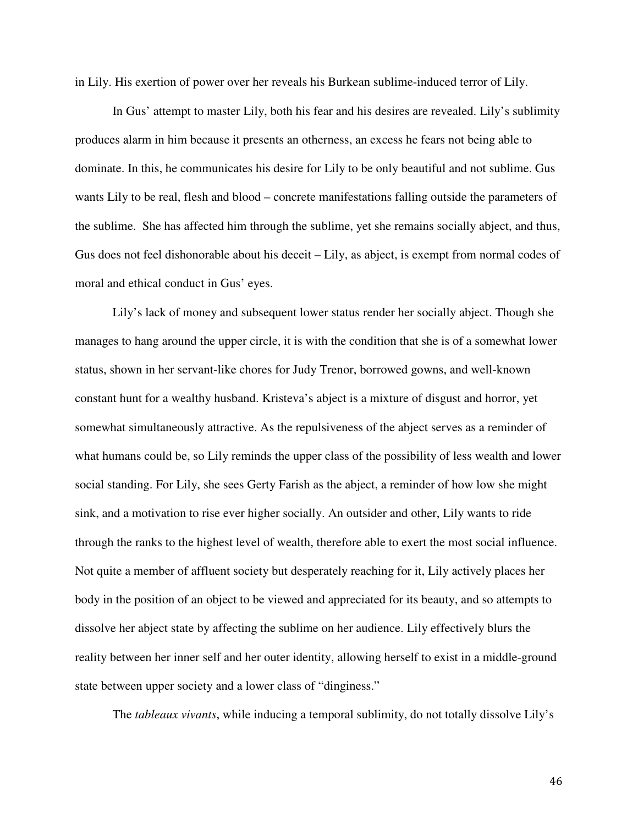in Lily. His exertion of power over her reveals his Burkean sublime-induced terror of Lily.

In Gus' attempt to master Lily, both his fear and his desires are revealed. Lily's sublimity produces alarm in him because it presents an otherness, an excess he fears not being able to dominate. In this, he communicates his desire for Lily to be only beautiful and not sublime. Gus wants Lily to be real, flesh and blood – concrete manifestations falling outside the parameters of the sublime. She has affected him through the sublime, yet she remains socially abject, and thus, Gus does not feel dishonorable about his deceit – Lily, as abject, is exempt from normal codes of moral and ethical conduct in Gus' eyes.

Lily's lack of money and subsequent lower status render her socially abject. Though she manages to hang around the upper circle, it is with the condition that she is of a somewhat lower status, shown in her servant-like chores for Judy Trenor, borrowed gowns, and well-known constant hunt for a wealthy husband. Kristeva's abject is a mixture of disgust and horror, yet somewhat simultaneously attractive. As the repulsiveness of the abject serves as a reminder of what humans could be, so Lily reminds the upper class of the possibility of less wealth and lower social standing. For Lily, she sees Gerty Farish as the abject, a reminder of how low she might sink, and a motivation to rise ever higher socially. An outsider and other, Lily wants to ride through the ranks to the highest level of wealth, therefore able to exert the most social influence. Not quite a member of affluent society but desperately reaching for it, Lily actively places her body in the position of an object to be viewed and appreciated for its beauty, and so attempts to dissolve her abject state by affecting the sublime on her audience. Lily effectively blurs the reality between her inner self and her outer identity, allowing herself to exist in a middle-ground state between upper society and a lower class of "dinginess."

The *tableaux vivants*, while inducing a temporal sublimity, do not totally dissolve Lily's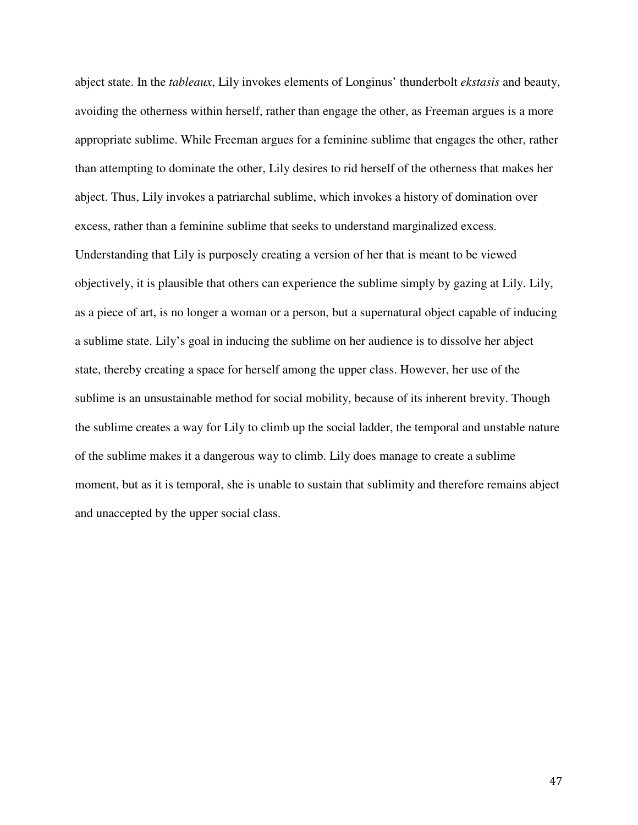abject state. In the *tableaux*, Lily invokes elements of Longinus' thunderbolt *ekstasis* and beauty, avoiding the otherness within herself, rather than engage the other, as Freeman argues is a more appropriate sublime. While Freeman argues for a feminine sublime that engages the other, rather than attempting to dominate the other, Lily desires to rid herself of the otherness that makes her abject. Thus, Lily invokes a patriarchal sublime, which invokes a history of domination over excess, rather than a feminine sublime that seeks to understand marginalized excess. Understanding that Lily is purposely creating a version of her that is meant to be viewed objectively, it is plausible that others can experience the sublime simply by gazing at Lily. Lily, as a piece of art, is no longer a woman or a person, but a supernatural object capable of inducing a sublime state. Lily's goal in inducing the sublime on her audience is to dissolve her abject state, thereby creating a space for herself among the upper class. However, her use of the sublime is an unsustainable method for social mobility, because of its inherent brevity. Though the sublime creates a way for Lily to climb up the social ladder, the temporal and unstable nature of the sublime makes it a dangerous way to climb. Lily does manage to create a sublime moment, but as it is temporal, she is unable to sustain that sublimity and therefore remains abject and unaccepted by the upper social class.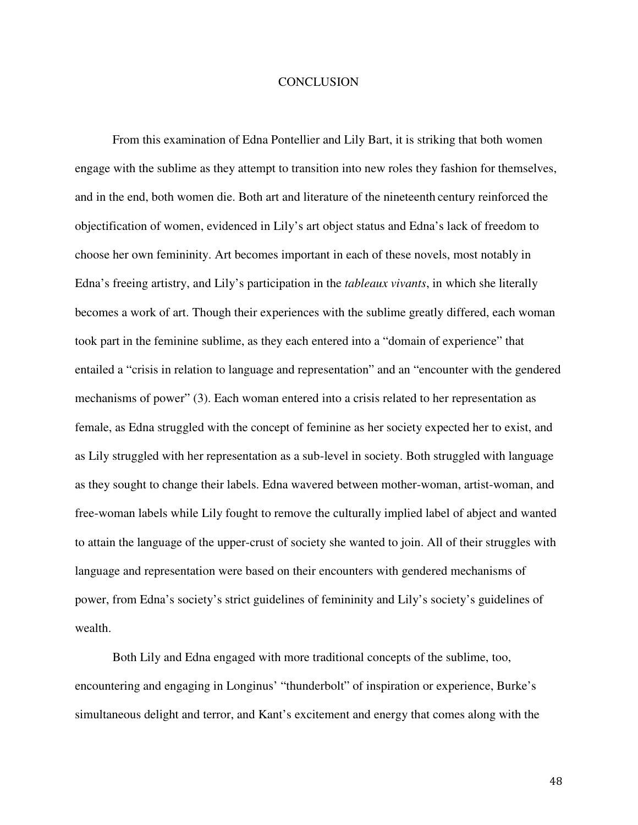### **CONCLUSION**

From this examination of Edna Pontellier and Lily Bart, it is striking that both women engage with the sublime as they attempt to transition into new roles they fashion for themselves, and in the end, both women die. Both art and literature of the nineteenth century reinforced the objectification of women, evidenced in Lily's art object status and Edna's lack of freedom to choose her own femininity. Art becomes important in each of these novels, most notably in Edna's freeing artistry, and Lily's participation in the *tableaux vivants*, in which she literally becomes a work of art. Though their experiences with the sublime greatly differed, each woman took part in the feminine sublime, as they each entered into a "domain of experience" that entailed a "crisis in relation to language and representation" and an "encounter with the gendered mechanisms of power" (3). Each woman entered into a crisis related to her representation as female, as Edna struggled with the concept of feminine as her society expected her to exist, and as Lily struggled with her representation as a sub-level in society. Both struggled with language as they sought to change their labels. Edna wavered between mother-woman, artist-woman, and free-woman labels while Lily fought to remove the culturally implied label of abject and wanted to attain the language of the upper-crust of society she wanted to join. All of their struggles with language and representation were based on their encounters with gendered mechanisms of power, from Edna's society's strict guidelines of femininity and Lily's society's guidelines of wealth.

Both Lily and Edna engaged with more traditional concepts of the sublime, too, encountering and engaging in Longinus' "thunderbolt" of inspiration or experience, Burke's simultaneous delight and terror, and Kant's excitement and energy that comes along with the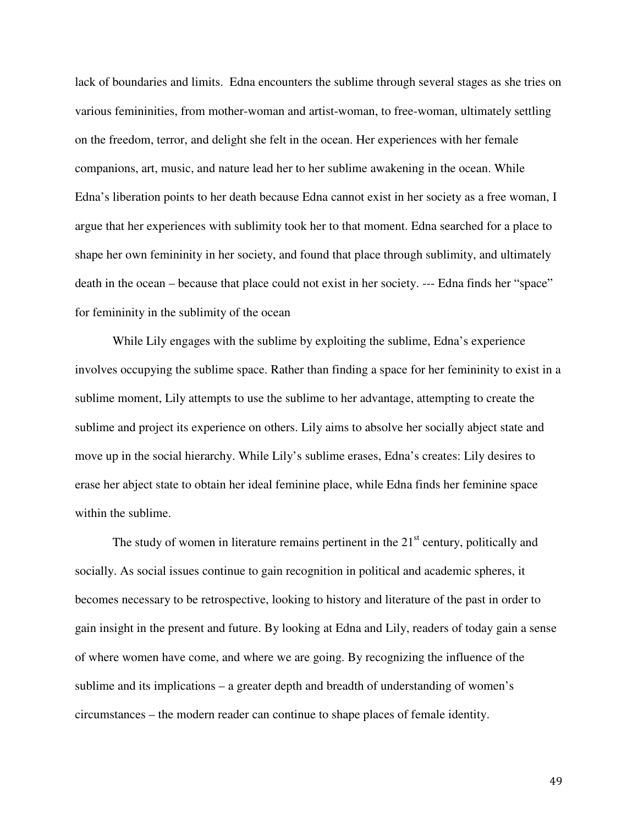lack of boundaries and limits. Edna encounters the sublime through several stages as she tries on various femininities, from mother-woman and artist-woman, to free-woman, ultimately settling on the freedom, terror, and delight she felt in the ocean. Her experiences with her female companions, art, music, and nature lead her to her sublime awakening in the ocean. While Edna's liberation points to her death because Edna cannot exist in her society as a free woman, I argue that her experiences with sublimity took her to that moment. Edna searched for a place to shape her own femininity in her society, and found that place through sublimity, and ultimately death in the ocean – because that place could not exist in her society. --- Edna finds her "space" for femininity in the sublimity of the ocean

While Lily engages with the sublime by exploiting the sublime, Edna's experience involves occupying the sublime space. Rather than finding a space for her femininity to exist in a sublime moment, Lily attempts to use the sublime to her advantage, attempting to create the sublime and project its experience on others. Lily aims to absolve her socially abject state and move up in the social hierarchy. While Lily's sublime erases, Edna's creates: Lily desires to erase her abject state to obtain her ideal feminine place, while Edna finds her feminine space within the sublime.

The study of women in literature remains pertinent in the  $21<sup>st</sup>$  century, politically and socially. As social issues continue to gain recognition in political and academic spheres, it becomes necessary to be retrospective, looking to history and literature of the past in order to gain insight in the present and future. By looking at Edna and Lily, readers of today gain a sense of where women have come, and where we are going. By recognizing the influence of the sublime and its implications – a greater depth and breadth of understanding of women's circumstances – the modern reader can continue to shape places of female identity.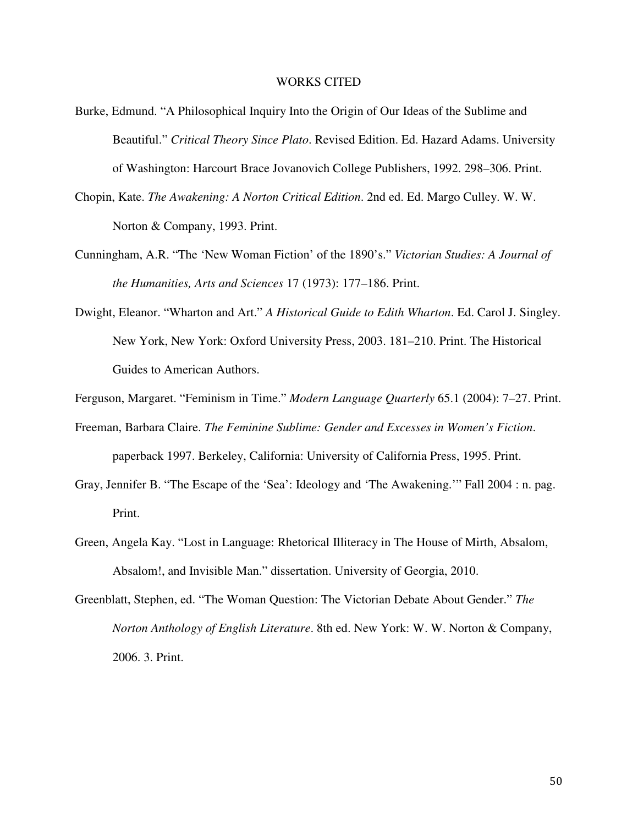#### WORKS CITED

- Burke, Edmund. "A Philosophical Inquiry Into the Origin of Our Ideas of the Sublime and Beautiful." *Critical Theory Since Plato*. Revised Edition. Ed. Hazard Adams. University of Washington: Harcourt Brace Jovanovich College Publishers, 1992. 298–306. Print.
- Chopin, Kate. *The Awakening: A Norton Critical Edition*. 2nd ed. Ed. Margo Culley. W. W. Norton & Company, 1993. Print.
- Cunningham, A.R. "The 'New Woman Fiction' of the 1890's." *Victorian Studies: A Journal of the Humanities, Arts and Sciences* 17 (1973): 177–186. Print.
- Dwight, Eleanor. "Wharton and Art." *A Historical Guide to Edith Wharton*. Ed. Carol J. Singley. New York, New York: Oxford University Press, 2003. 181–210. Print. The Historical Guides to American Authors.

Ferguson, Margaret. "Feminism in Time." *Modern Language Quarterly* 65.1 (2004): 7–27. Print.

- Freeman, Barbara Claire. *The Feminine Sublime: Gender and Excesses in Women's Fiction*. paperback 1997. Berkeley, California: University of California Press, 1995. Print.
- Gray, Jennifer B. "The Escape of the 'Sea': Ideology and 'The Awakening.'" Fall 2004 : n. pag. Print.
- Green, Angela Kay. "Lost in Language: Rhetorical Illiteracy in The House of Mirth, Absalom, Absalom!, and Invisible Man." dissertation. University of Georgia, 2010.
- Greenblatt, Stephen, ed. "The Woman Question: The Victorian Debate About Gender." *The Norton Anthology of English Literature*. 8th ed. New York: W. W. Norton & Company, 2006. 3. Print.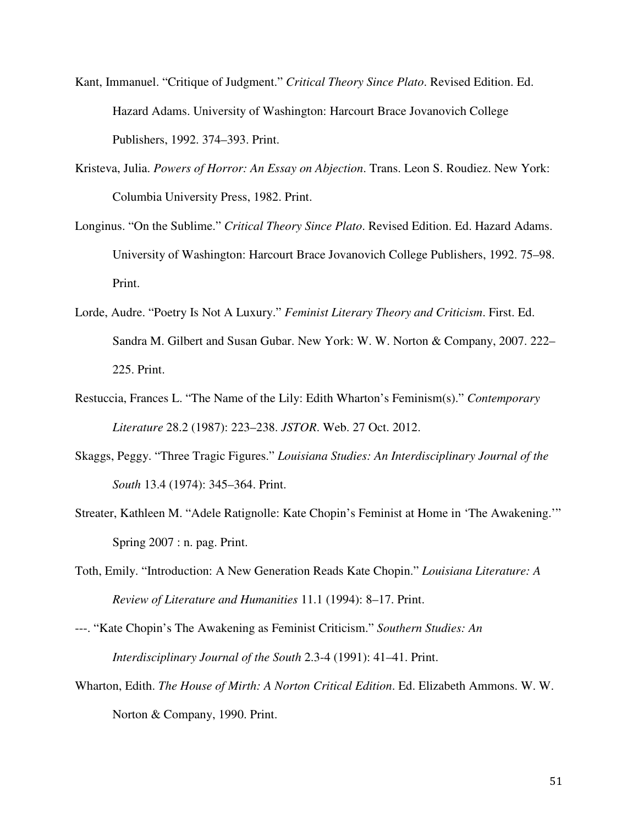- Kant, Immanuel. "Critique of Judgment." *Critical Theory Since Plato*. Revised Edition. Ed. Hazard Adams. University of Washington: Harcourt Brace Jovanovich College Publishers, 1992. 374–393. Print.
- Kristeva, Julia. *Powers of Horror: An Essay on Abjection*. Trans. Leon S. Roudiez. New York: Columbia University Press, 1982. Print.
- Longinus. "On the Sublime." *Critical Theory Since Plato*. Revised Edition. Ed. Hazard Adams. University of Washington: Harcourt Brace Jovanovich College Publishers, 1992. 75–98. Print.
- Lorde, Audre. "Poetry Is Not A Luxury." *Feminist Literary Theory and Criticism*. First. Ed. Sandra M. Gilbert and Susan Gubar. New York: W. W. Norton & Company, 2007. 222– 225. Print.
- Restuccia, Frances L. "The Name of the Lily: Edith Wharton's Feminism(s)." *Contemporary Literature* 28.2 (1987): 223–238. *JSTOR*. Web. 27 Oct. 2012.
- Skaggs, Peggy. "Three Tragic Figures." *Louisiana Studies: An Interdisciplinary Journal of the South* 13.4 (1974): 345–364. Print.
- Streater, Kathleen M. "Adele Ratignolle: Kate Chopin's Feminist at Home in 'The Awakening.'" Spring 2007 : n. pag. Print.
- Toth, Emily. "Introduction: A New Generation Reads Kate Chopin." *Louisiana Literature: A Review of Literature and Humanities* 11.1 (1994): 8–17. Print.
- ---. "Kate Chopin's The Awakening as Feminist Criticism." *Southern Studies: An Interdisciplinary Journal of the South* 2.3-4 (1991): 41–41. Print.
- Wharton, Edith. *The House of Mirth: A Norton Critical Edition*. Ed. Elizabeth Ammons. W. W. Norton & Company, 1990. Print.